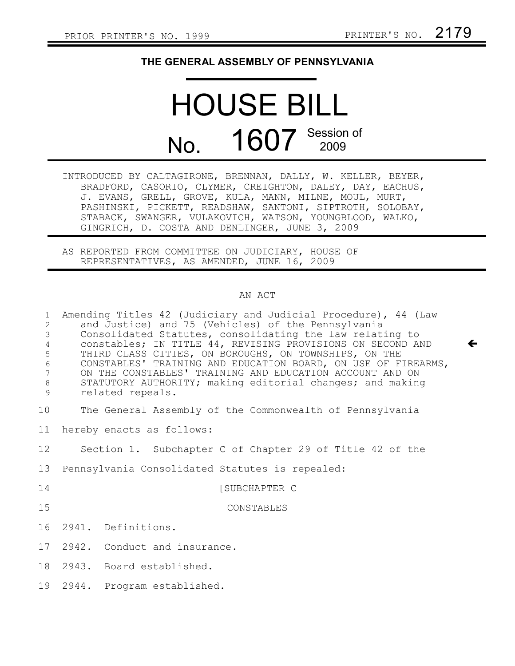$\leftarrow$ 

## **THE GENERAL ASSEMBLY OF PENNSYLVANIA**

## HOUSE BILL No. 1607 Session of

| INTRODUCED BY CALTAGIRONE, BRENNAN, DALLY, W. KELLER, BEYER, |
|--------------------------------------------------------------|
| BRADFORD, CASORIO, CLYMER, CREIGHTON, DALEY, DAY, EACHUS,    |
| J. EVANS, GRELL, GROVE, KULA, MANN, MILNE, MOUL, MURT,       |
| PASHINSKI, PICKETT, READSHAW, SANTONI, SIPTROTH, SOLOBAY,    |
| STABACK, SWANGER, VULAKOVICH, WATSON, YOUNGBLOOD, WALKO,     |
| GINGRICH, D. COSTA AND DENLINGER, JUNE 3, 2009               |

AS REPORTED FROM COMMITTEE ON JUDICIARY, HOUSE OF REPRESENTATIVES, AS AMENDED, JUNE 16, 2009

## AN ACT

| $\mathbf{1}$<br>$\overline{c}$<br>$\mathfrak{Z}$<br>$\overline{4}$<br>5<br>$\sqrt{6}$<br>$7\phantom{.0}$<br>$\,8\,$<br>9 | Amending Titles 42 (Judiciary and Judicial Procedure), 44 (Law<br>and Justice) and 75 (Vehicles) of the Pennsylvania<br>Consolidated Statutes, consolidating the law relating to<br>constables; IN TITLE 44, REVISING PROVISIONS ON SECOND AND<br>THIRD CLASS CITIES, ON BOROUGHS, ON TOWNSHIPS, ON THE<br>CONSTABLES' TRAINING AND EDUCATION BOARD, ON USE OF FIREARMS,<br>ON THE CONSTABLES' TRAINING AND EDUCATION ACCOUNT AND ON<br>STATUTORY AUTHORITY; making editorial changes; and making<br>related repeals. |
|--------------------------------------------------------------------------------------------------------------------------|-----------------------------------------------------------------------------------------------------------------------------------------------------------------------------------------------------------------------------------------------------------------------------------------------------------------------------------------------------------------------------------------------------------------------------------------------------------------------------------------------------------------------|
| 10                                                                                                                       | The General Assembly of the Commonwealth of Pennsylvania                                                                                                                                                                                                                                                                                                                                                                                                                                                              |
| 11                                                                                                                       | hereby enacts as follows:                                                                                                                                                                                                                                                                                                                                                                                                                                                                                             |
| 12 <sup>°</sup>                                                                                                          | Section 1. Subchapter C of Chapter 29 of Title 42 of the                                                                                                                                                                                                                                                                                                                                                                                                                                                              |
| 13                                                                                                                       | Pennsylvania Consolidated Statutes is repealed:                                                                                                                                                                                                                                                                                                                                                                                                                                                                       |
| 14                                                                                                                       | [SUBCHAPTER C                                                                                                                                                                                                                                                                                                                                                                                                                                                                                                         |
| 15                                                                                                                       | CONSTABLES                                                                                                                                                                                                                                                                                                                                                                                                                                                                                                            |
| 16                                                                                                                       | 2941. Definitions.                                                                                                                                                                                                                                                                                                                                                                                                                                                                                                    |
| 17                                                                                                                       | 2942. Conduct and insurance.                                                                                                                                                                                                                                                                                                                                                                                                                                                                                          |
| 18                                                                                                                       | 2943. Board established.                                                                                                                                                                                                                                                                                                                                                                                                                                                                                              |
| 19                                                                                                                       | 2944. Program established.                                                                                                                                                                                                                                                                                                                                                                                                                                                                                            |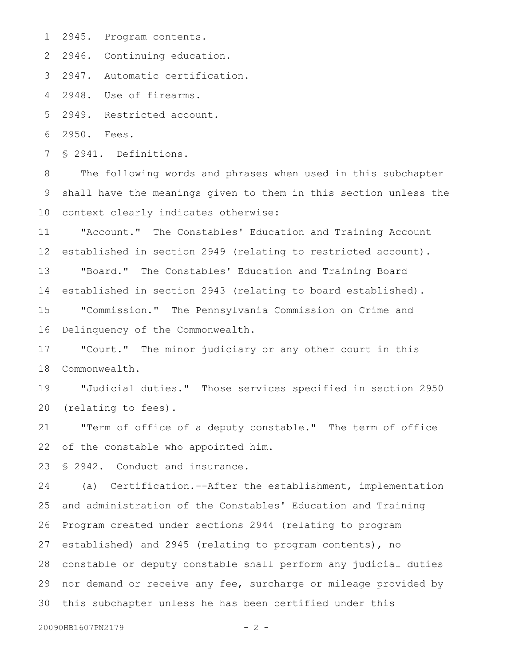2945. Program contents. 1

2 2946. Continuing education.

2947. Automatic certification. 3

2948. Use of firearms. 4

2949. Restricted account. 5

2950. Fees. 6

§ 2941. Definitions. 7

The following words and phrases when used in this subchapter shall have the meanings given to them in this section unless the context clearly indicates otherwise: 8 9 10

"Account." The Constables' Education and Training Account established in section 2949 (relating to restricted account). "Board." The Constables' Education and Training Board established in section 2943 (relating to board established). 11 12 13 14

"Commission." The Pennsylvania Commission on Crime and Delinquency of the Commonwealth. 15 16

"Court." The minor judiciary or any other court in this Commonwealth. 17 18

"Judicial duties." Those services specified in section 2950 (relating to fees). 19 20

"Term of office of a deputy constable." The term of office of the constable who appointed him. 21 22

§ 2942. Conduct and insurance. 23

(a) Certification.--After the establishment, implementation and administration of the Constables' Education and Training Program created under sections 2944 (relating to program established) and 2945 (relating to program contents), no constable or deputy constable shall perform any judicial duties 28 nor demand or receive any fee, surcharge or mileage provided by 30 this subchapter unless he has been certified under this 24 25 26 27 29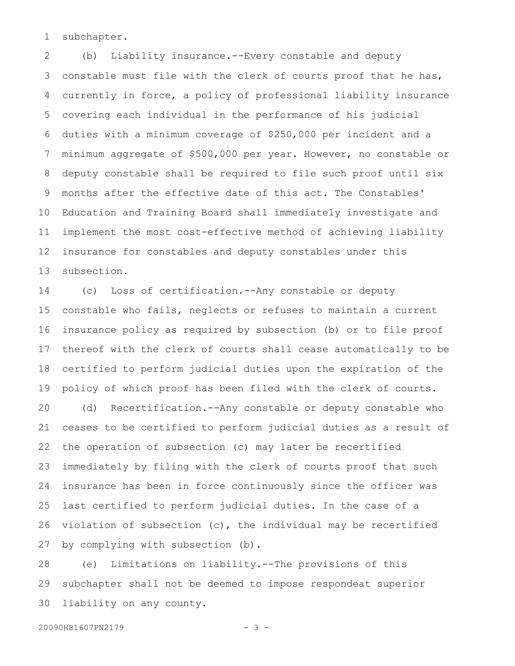subchapter. 1

(b) Liability insurance.--Every constable and deputy constable must file with the clerk of courts proof that he has, currently in force, a policy of professional liability insurance covering each individual in the performance of his judicial duties with a minimum coverage of \$250,000 per incident and a minimum aggregate of \$500,000 per year. However, no constable or deputy constable shall be required to file such proof until six months after the effective date of this act. The Constables' Education and Training Board shall immediately investigate and implement the most cost-effective method of achieving liability insurance for constables and deputy constables under this subsection. 2 3 4 5 6 7 8 9 10 11 12 13

(c) Loss of certification.--Any constable or deputy constable who fails, neglects or refuses to maintain a current insurance policy as required by subsection (b) or to file proof thereof with the clerk of courts shall cease automatically to be certified to perform judicial duties upon the expiration of the policy of which proof has been filed with the clerk of courts. (d) Recertification.--Any constable or deputy constable who ceases to be certified to perform judicial duties as a result of the operation of subsection (c) may later be recertified immediately by filing with the clerk of courts proof that such insurance has been in force continuously since the officer was last certified to perform judicial duties. In the case of a violation of subsection (c), the individual may be recertified 14 15 16 17 18 19 20 21 22 23 24 25 26

by complying with subsection (b). 27

(e) Limitations on liability.--The provisions of this subchapter shall not be deemed to impose respondeat superior liability on any county. 28 29 30

```
20090HB1607PN2179 - 3 -
```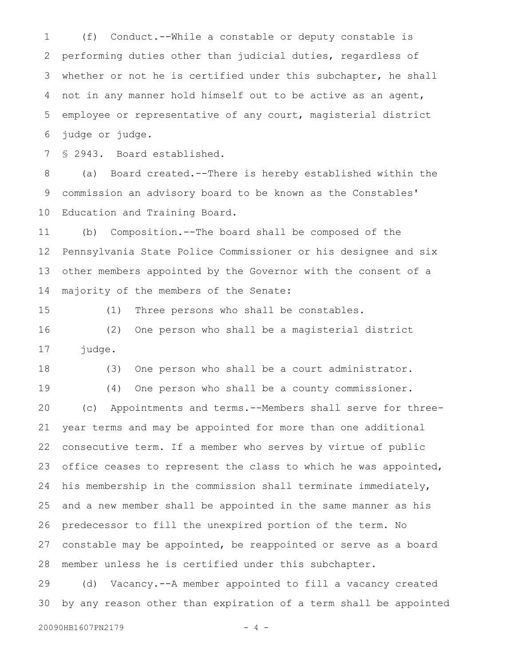(f) Conduct.--While a constable or deputy constable is performing duties other than judicial duties, regardless of whether or not he is certified under this subchapter, he shall not in any manner hold himself out to be active as an agent, employee or representative of any court, magisterial district judge or judge. 1 2 3 4 5 6

§ 2943. Board established. 7

(a) Board created.--There is hereby established within the commission an advisory board to be known as the Constables' Education and Training Board. 8 9 10

(b) Composition.--The board shall be composed of the Pennsylvania State Police Commissioner or his designee and six other members appointed by the Governor with the consent of a majority of the members of the Senate: 11 12 13 14

15

(1) Three persons who shall be constables.

(2) One person who shall be a magisterial district judge. 16 17

(3) One person who shall be a court administrator. 18

(4) One person who shall be a county commissioner. (c) Appointments and terms.--Members shall serve for threeyear terms and may be appointed for more than one additional consecutive term. If a member who serves by virtue of public office ceases to represent the class to which he was appointed, his membership in the commission shall terminate immediately, and a new member shall be appointed in the same manner as his predecessor to fill the unexpired portion of the term. No constable may be appointed, be reappointed or serve as a board member unless he is certified under this subchapter. 19 20 21 22 23 24 25 26 27 28

(d) Vacancy.--A member appointed to fill a vacancy created by any reason other than expiration of a term shall be appointed 29 30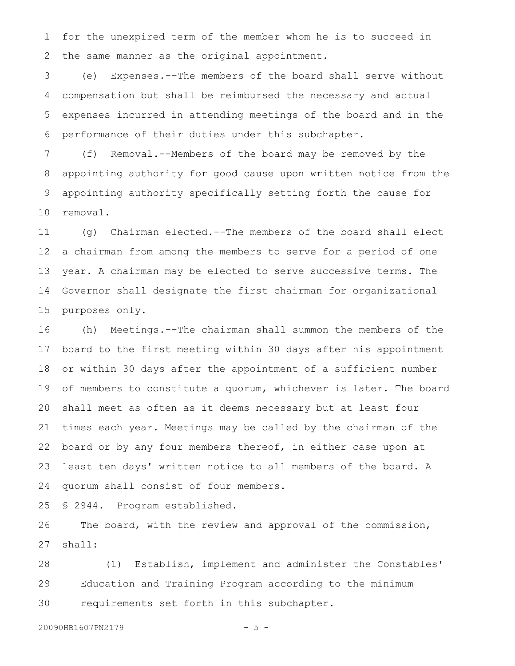for the unexpired term of the member whom he is to succeed in the same manner as the original appointment. 1 2

(e) Expenses.--The members of the board shall serve without compensation but shall be reimbursed the necessary and actual expenses incurred in attending meetings of the board and in the performance of their duties under this subchapter. 3 4 5 6

(f) Removal.--Members of the board may be removed by the appointing authority for good cause upon written notice from the appointing authority specifically setting forth the cause for removal. 7 8 9 10

(g) Chairman elected.--The members of the board shall elect a chairman from among the members to serve for a period of one year. A chairman may be elected to serve successive terms. The Governor shall designate the first chairman for organizational purposes only. 11 12 13 14 15

(h) Meetings.--The chairman shall summon the members of the board to the first meeting within 30 days after his appointment or within 30 days after the appointment of a sufficient number of members to constitute a quorum, whichever is later. The board shall meet as often as it deems necessary but at least four times each year. Meetings may be called by the chairman of the board or by any four members thereof, in either case upon at least ten days' written notice to all members of the board. A quorum shall consist of four members. 16 17 18 19 20 21 22 23 24

§ 2944. Program established. 25

The board, with the review and approval of the commission, shall: 26 27

(1) Establish, implement and administer the Constables' Education and Training Program according to the minimum requirements set forth in this subchapter. 28 29 30

20090HB1607PN2179 - 5 -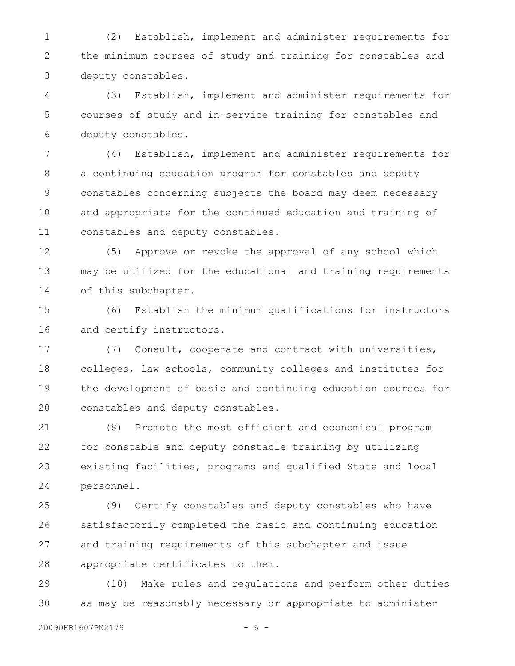(2) Establish, implement and administer requirements for the minimum courses of study and training for constables and deputy constables. 1 2 3

(3) Establish, implement and administer requirements for courses of study and in-service training for constables and deputy constables. 4 5 6

(4) Establish, implement and administer requirements for a continuing education program for constables and deputy constables concerning subjects the board may deem necessary and appropriate for the continued education and training of constables and deputy constables. 7 8 9 10 11

(5) Approve or revoke the approval of any school which may be utilized for the educational and training requirements of this subchapter. 12 13 14

(6) Establish the minimum qualifications for instructors and certify instructors. 15 16

(7) Consult, cooperate and contract with universities, colleges, law schools, community colleges and institutes for the development of basic and continuing education courses for constables and deputy constables. 17 18 19 20

(8) Promote the most efficient and economical program for constable and deputy constable training by utilizing existing facilities, programs and qualified State and local personnel. 21 22 23 24

(9) Certify constables and deputy constables who have satisfactorily completed the basic and continuing education and training requirements of this subchapter and issue appropriate certificates to them. 25 26 27 28

(10) Make rules and regulations and perform other duties as may be reasonably necessary or appropriate to administer 29 30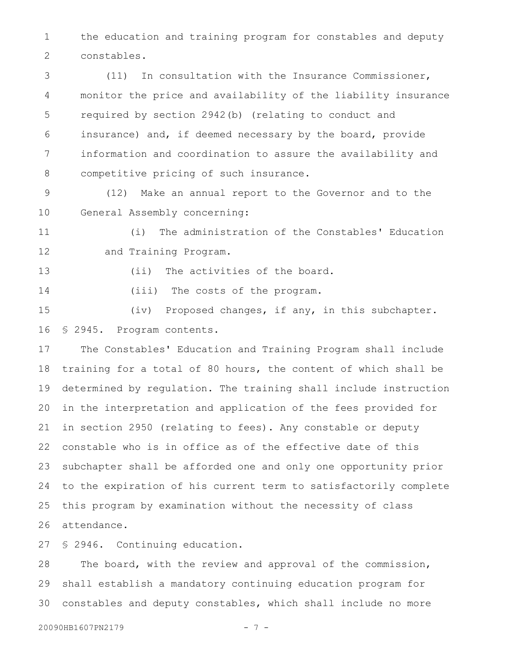the education and training program for constables and deputy constables. 1 2

(11) In consultation with the Insurance Commissioner, monitor the price and availability of the liability insurance required by section 2942(b) (relating to conduct and insurance) and, if deemed necessary by the board, provide information and coordination to assure the availability and competitive pricing of such insurance. 3 4 5 6 7 8

(12) Make an annual report to the Governor and to the General Assembly concerning: 9 10

(i) The administration of the Constables' Education and Training Program. 11 12

13

(ii) The activities of the board.

(iii) The costs of the program. 14

(iv) Proposed changes, if any, in this subchapter. § 2945. Program contents. 15 16

The Constables' Education and Training Program shall include training for a total of 80 hours, the content of which shall be determined by regulation. The training shall include instruction in the interpretation and application of the fees provided for in section 2950 (relating to fees). Any constable or deputy constable who is in office as of the effective date of this subchapter shall be afforded one and only one opportunity prior to the expiration of his current term to satisfactorily complete this program by examination without the necessity of class attendance. 17 18 19 20 21 22 23 24 25 26

§ 2946. Continuing education. 27

The board, with the review and approval of the commission, shall establish a mandatory continuing education program for constables and deputy constables, which shall include no more 28 29 30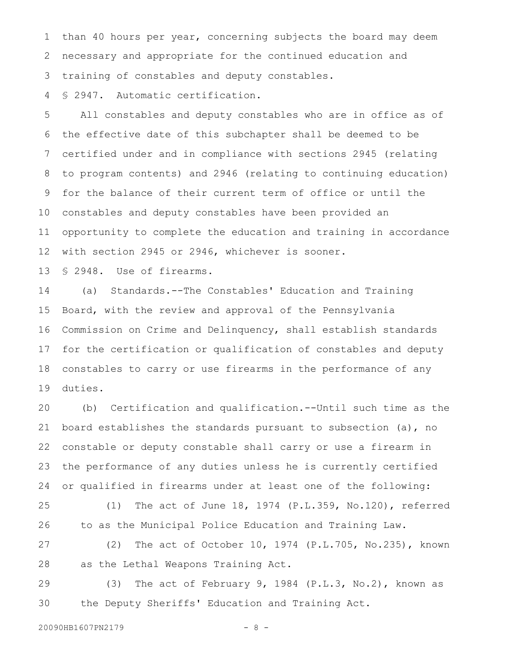than 40 hours per year, concerning subjects the board may deem necessary and appropriate for the continued education and training of constables and deputy constables. 1 2 3

§ 2947. Automatic certification. 4

All constables and deputy constables who are in office as of the effective date of this subchapter shall be deemed to be certified under and in compliance with sections 2945 (relating to program contents) and 2946 (relating to continuing education) for the balance of their current term of office or until the constables and deputy constables have been provided an opportunity to complete the education and training in accordance with section 2945 or 2946, whichever is sooner. 5 6 7 8 9 10 11 12

§ 2948. Use of firearms. 13

(a) Standards.--The Constables' Education and Training Board, with the review and approval of the Pennsylvania Commission on Crime and Delinquency, shall establish standards for the certification or qualification of constables and deputy constables to carry or use firearms in the performance of any duties. 14 15 16 17 18 19

(b) Certification and qualification.--Until such time as the board establishes the standards pursuant to subsection (a), no constable or deputy constable shall carry or use a firearm in the performance of any duties unless he is currently certified or qualified in firearms under at least one of the following: 20 21 22 23 24

(1) The act of June 18, 1974 (P.L.359, No.120), referred to as the Municipal Police Education and Training Law. 25 26

(2) The act of October 10, 1974 (P.L.705, No.235), known as the Lethal Weapons Training Act. 27 28

(3) The act of February 9, 1984 (P.L.3, No.2), known as the Deputy Sheriffs' Education and Training Act. 29 30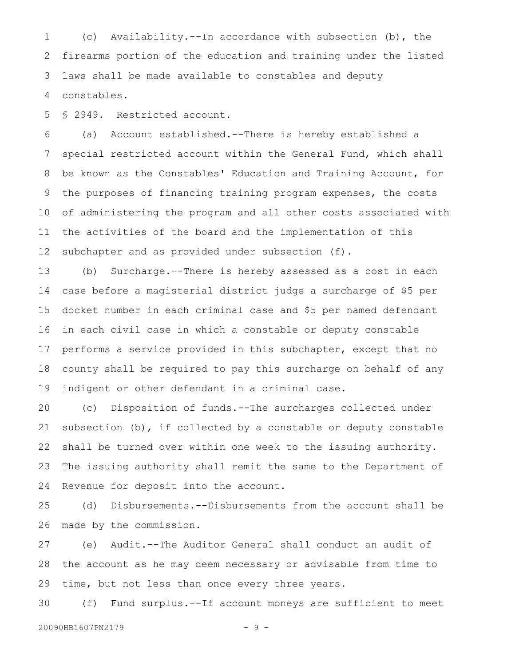(c) Availability.--In accordance with subsection (b), the firearms portion of the education and training under the listed laws shall be made available to constables and deputy constables. 1 2 3 4

§ 2949. Restricted account. 5

(a) Account established.--There is hereby established a special restricted account within the General Fund, which shall be known as the Constables' Education and Training Account, for the purposes of financing training program expenses, the costs of administering the program and all other costs associated with the activities of the board and the implementation of this subchapter and as provided under subsection (f). 6 7 8 9 10 11 12

(b) Surcharge.--There is hereby assessed as a cost in each case before a magisterial district judge a surcharge of \$5 per docket number in each criminal case and \$5 per named defendant in each civil case in which a constable or deputy constable performs a service provided in this subchapter, except that no county shall be required to pay this surcharge on behalf of any indigent or other defendant in a criminal case. 13 14 15 16 17 18 19

(c) Disposition of funds.--The surcharges collected under subsection  $(b)$ , if collected by a constable or deputy constable shall be turned over within one week to the issuing authority. The issuing authority shall remit the same to the Department of Revenue for deposit into the account. 20 21 22 23 24

(d) Disbursements.--Disbursements from the account shall be made by the commission. 25 26

(e) Audit.--The Auditor General shall conduct an audit of the account as he may deem necessary or advisable from time to time, but not less than once every three years. 27 28 29

(f) Fund surplus.--If account moneys are sufficient to meet 30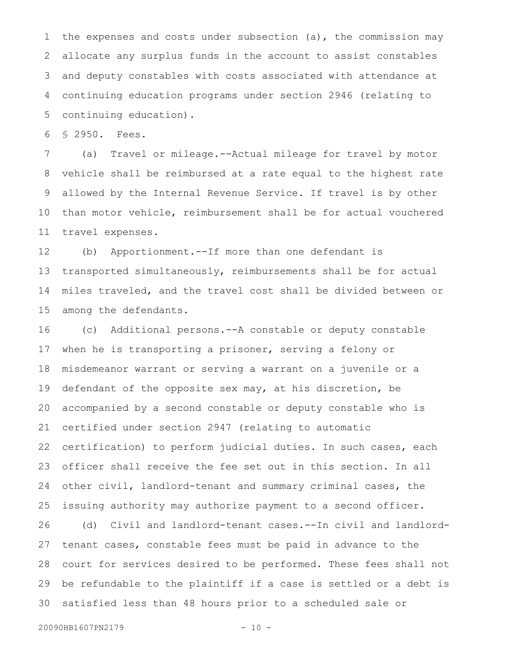the expenses and costs under subsection (a), the commission may allocate any surplus funds in the account to assist constables and deputy constables with costs associated with attendance at continuing education programs under section 2946 (relating to continuing education). 1 2 3 4 5

§ 2950. Fees. 6

(a) Travel or mileage.--Actual mileage for travel by motor vehicle shall be reimbursed at a rate equal to the highest rate allowed by the Internal Revenue Service. If travel is by other than motor vehicle, reimbursement shall be for actual vouchered travel expenses. 7 8 9 10 11

(b) Apportionment.--If more than one defendant is transported simultaneously, reimbursements shall be for actual miles traveled, and the travel cost shall be divided between or among the defendants. 12 13 14 15

(c) Additional persons.--A constable or deputy constable when he is transporting a prisoner, serving a felony or misdemeanor warrant or serving a warrant on a juvenile or a defendant of the opposite sex may, at his discretion, be accompanied by a second constable or deputy constable who is certified under section 2947 (relating to automatic certification) to perform judicial duties. In such cases, each officer shall receive the fee set out in this section. In all other civil, landlord-tenant and summary criminal cases, the issuing authority may authorize payment to a second officer. (d) Civil and landlord-tenant cases.--In civil and landlordtenant cases, constable fees must be paid in advance to the court for services desired to be performed. These fees shall not be refundable to the plaintiff if a case is settled or a debt is 16 17 18 19 20 21 22 23 24 25 26 27 28 29

satisfied less than 48 hours prior to a scheduled sale or 30

20090HB1607PN2179 - 10 -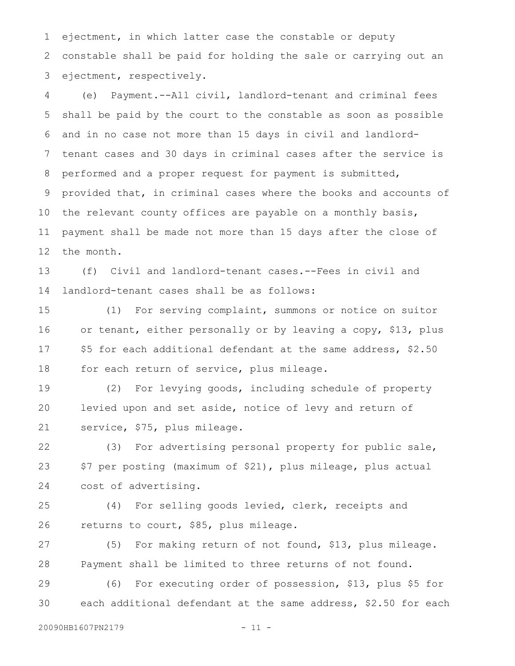ejectment, in which latter case the constable or deputy constable shall be paid for holding the sale or carrying out an ejectment, respectively. 1 2 3

(e) Payment.--All civil, landlord-tenant and criminal fees shall be paid by the court to the constable as soon as possible and in no case not more than 15 days in civil and landlordtenant cases and 30 days in criminal cases after the service is performed and a proper request for payment is submitted, provided that, in criminal cases where the books and accounts of the relevant county offices are payable on a monthly basis, payment shall be made not more than 15 days after the close of the month. 4 5 6 7 8 9 10 11 12

(f) Civil and landlord-tenant cases.--Fees in civil and landlord-tenant cases shall be as follows: 13 14

(1) For serving complaint, summons or notice on suitor or tenant, either personally or by leaving a copy, \$13, plus \$5 for each additional defendant at the same address, \$2.50 for each return of service, plus mileage. 15 16 17 18

(2) For levying goods, including schedule of property levied upon and set aside, notice of levy and return of service, \$75, plus mileage. 19 20 21

(3) For advertising personal property for public sale, \$7 per posting (maximum of \$21), plus mileage, plus actual cost of advertising. 22 23 24

(4) For selling goods levied, clerk, receipts and returns to court, \$85, plus mileage. 25 26

(5) For making return of not found, \$13, plus mileage. Payment shall be limited to three returns of not found. 27 28

(6) For executing order of possession, \$13, plus \$5 for each additional defendant at the same address, \$2.50 for each 29 30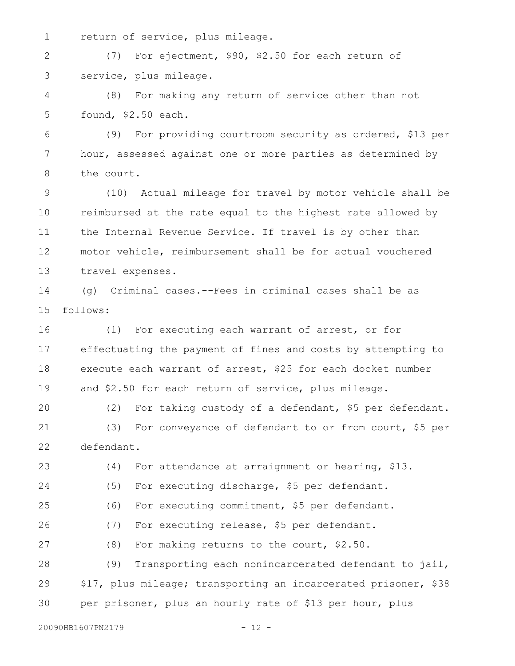return of service, plus mileage. 1

(7) For ejectment, \$90, \$2.50 for each return of service, plus mileage. 2 3

(8) For making any return of service other than not found, \$2.50 each. 4 5

(9) For providing courtroom security as ordered, \$13 per hour, assessed against one or more parties as determined by the court. 6 7 8

(10) Actual mileage for travel by motor vehicle shall be reimbursed at the rate equal to the highest rate allowed by the Internal Revenue Service. If travel is by other than motor vehicle, reimbursement shall be for actual vouchered travel expenses. 9 10 11 12 13

(g) Criminal cases.--Fees in criminal cases shall be as follows: 14 15

(1) For executing each warrant of arrest, or for effectuating the payment of fines and costs by attempting to execute each warrant of arrest, \$25 for each docket number and \$2.50 for each return of service, plus mileage. 16 17 18 19

(2) For taking custody of a defendant, \$5 per defendant. (3) For conveyance of defendant to or from court, \$5 per defendant. 20 21 22

(4) For attendance at arraignment or hearing, \$13. (5) For executing discharge, \$5 per defendant. (6) For executing commitment, \$5 per defendant. (7) For executing release, \$5 per defendant. (8) For making returns to the court, \$2.50. (9) Transporting each nonincarcerated defendant to jail, \$17, plus mileage; transporting an incarcerated prisoner, \$38 per prisoner, plus an hourly rate of \$13 per hour, plus 23 24 25 26 27 28 29 30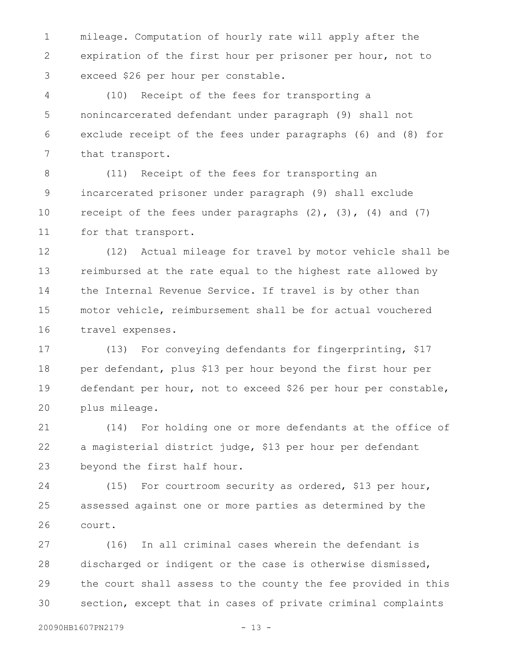mileage. Computation of hourly rate will apply after the expiration of the first hour per prisoner per hour, not to exceed \$26 per hour per constable. 1 2 3

(10) Receipt of the fees for transporting a nonincarcerated defendant under paragraph (9) shall not exclude receipt of the fees under paragraphs (6) and (8) for that transport. 4 5 6 7

(11) Receipt of the fees for transporting an incarcerated prisoner under paragraph (9) shall exclude receipt of the fees under paragraphs  $(2)$ ,  $(3)$ ,  $(4)$  and  $(7)$ for that transport. 8 9 10 11

(12) Actual mileage for travel by motor vehicle shall be reimbursed at the rate equal to the highest rate allowed by the Internal Revenue Service. If travel is by other than motor vehicle, reimbursement shall be for actual vouchered travel expenses. 12 13 14 15 16

(13) For conveying defendants for fingerprinting, \$17 per defendant, plus \$13 per hour beyond the first hour per defendant per hour, not to exceed \$26 per hour per constable, plus mileage. 17 18 19 20

(14) For holding one or more defendants at the office of a magisterial district judge, \$13 per hour per defendant beyond the first half hour. 21 22 23

(15) For courtroom security as ordered, \$13 per hour, assessed against one or more parties as determined by the court. 24 25 26

(16) In all criminal cases wherein the defendant is discharged or indigent or the case is otherwise dismissed, the court shall assess to the county the fee provided in this section, except that in cases of private criminal complaints 27 28 29 30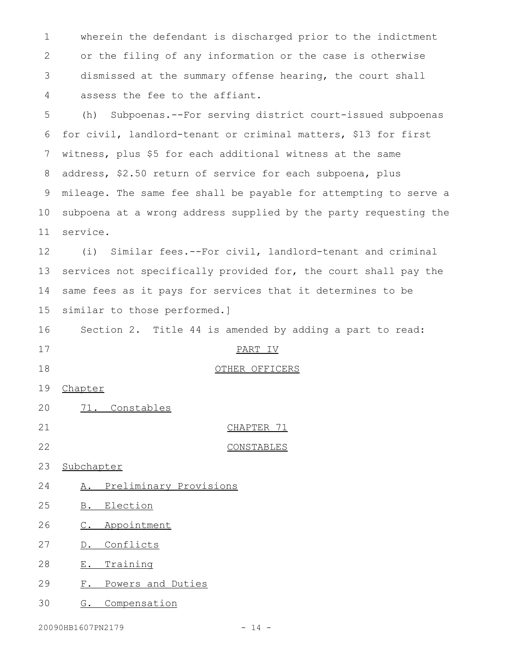wherein the defendant is discharged prior to the indictment or the filing of any information or the case is otherwise dismissed at the summary offense hearing, the court shall assess the fee to the affiant. 1 2 3 4

(h) Subpoenas.--For serving district court-issued subpoenas for civil, landlord-tenant or criminal matters, \$13 for first witness, plus \$5 for each additional witness at the same address, \$2.50 return of service for each subpoena, plus mileage. The same fee shall be payable for attempting to serve a subpoena at a wrong address supplied by the party requesting the service. 5 6 7 8 9 10 11

(i) Similar fees.--For civil, landlord-tenant and criminal services not specifically provided for, the court shall pay the same fees as it pays for services that it determines to be similar to those performed.] 12 13 14 15

Section 2. Title 44 is amended by adding a part to read: 16

17

18

20

OTHER OFFICERS

PART IV

- Chapter 19
- CHAPTER 71 21
- CONSTABLES 22
- Subchapter 23
- A. Preliminary Provisions 24

71. Constables

- B. Election 25
- C. Appointment 26
- D. Conflicts 27
- E. Training 28
- F. Powers and Duties 29
- G. Compensation 30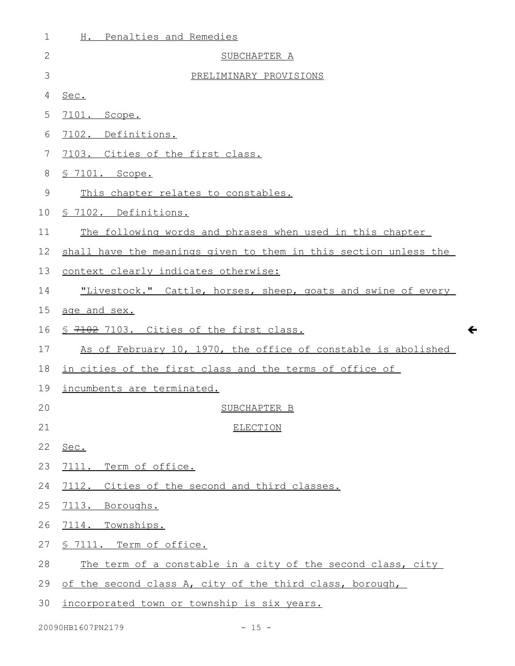| 1  | H. Penalties and Remedies                                        |
|----|------------------------------------------------------------------|
| 2  | SUBCHAPTER A                                                     |
| 3  | PRELIMINARY PROVISIONS                                           |
| 4  | Sec.                                                             |
| 5  | 7101. Scope.                                                     |
| 6  | 7102. Definitions.                                               |
| 7  | 7103. Cities of the first class.                                 |
| 8  | <u>S 7101. Scope.</u>                                            |
| 9  | This chapter relates to constables.                              |
| 10 | § 7102. Definitions.                                             |
| 11 | The following words and phrases when used in this chapter        |
| 12 | shall have the meanings given to them in this section unless the |
| 13 | context clearly indicates otherwise:                             |
| 14 | "Livestock." Cattle, horses, sheep, goats and swine of every     |
| 15 | age and sex.                                                     |
| 16 | \$ 7102 7103. Cities of the first class.                         |
| 17 | As of February 10, 1970, the office of constable is abolished    |
| 18 | in cities of the first class and the terms of office of          |
| 19 | incumbents are terminated.                                       |
| 20 | SUBCHAPTER B                                                     |
| 21 | <b>ELECTION</b>                                                  |
| 22 | Sec.                                                             |
| 23 | 7111. Term of office.                                            |
| 24 | 7112. Cities of the second and third classes.                    |
| 25 | 7113. Boroughs.                                                  |
| 26 | 7114. Townships.                                                 |
| 27 | § 7111. Term of office.                                          |
| 28 | The term of a constable in a city of the second class, city      |
| 29 | of the second class A, city of the third class, borough,         |
| 30 | incorporated town or township is six years.                      |

 $\leftarrow$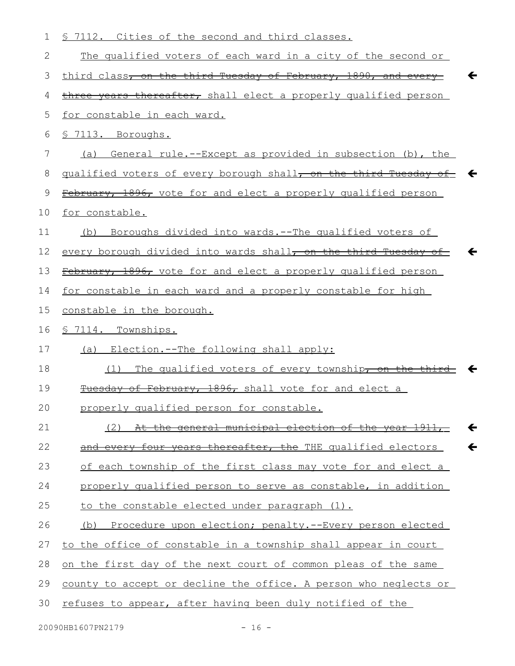| 1             | \$ 7112. Cities of the second and third classes.                                 |
|---------------|----------------------------------------------------------------------------------|
| $\mathbf{2}$  | The qualified voters of each ward in a city of the second or                     |
| 3             | third class, on the third Tuesday of February, 1890, and every<br>←              |
| 4             | three years thereafter, shall elect a properly qualified person                  |
| 5             | for constable in each ward.                                                      |
| 6             | § 7113. Boroughs.                                                                |
| 7             | (a) General rule.--Except as provided in subsection (b), the                     |
| 8             | qualified voters of every borough shall, on the third Tuesday of $\leftarrow$    |
| $\mathcal{G}$ | February, 1896, vote for and elect a properly qualified person                   |
| 10            | for constable.                                                                   |
| 11            | Boroughs divided into wards.--The qualified voters of<br>(b)                     |
| 12            | every borough divided into wards shall <del>, on the third Tuesday of</del><br>← |
| 13            | February, 1896, vote for and elect a properly qualified person                   |
| 14            | for constable in each ward and a properly constable for high                     |
| 15            | constable in the borough.                                                        |
| 16            | § 7114. Townships.                                                               |
| 17            | Election.--The following shall apply:<br>(a)                                     |
| 18            | The qualified voters of every township, on the thir<br>(1)                       |
| 19            | of February, 1896, shall vote for and elect a                                    |
| 20            | properly qualified person for constable.                                         |
| 21            | (2) At the general municipal election of the year 1911,<br>$\leftarrow$          |
| 22            | and every four years thereafter, the THE qualified electors<br>$\leftarrow$      |
| 23            | of each township of the first class may vote for and elect a                     |
| 24            | properly qualified person to serve as constable, in addition                     |
| 25            | to the constable elected under paragraph (1).                                    |
| 26            | (b) Procedure upon election; penalty.--Every person elected                      |
| 27            | to the office of constable in a township shall appear in court                   |
| 28            | <u>on the first day of the next court of common pleas of the same</u>            |
| 29            | county to accept or decline the office. A person who neglects or                 |
| 30            | refuses to appear, after having been duly notified of the                        |
|               |                                                                                  |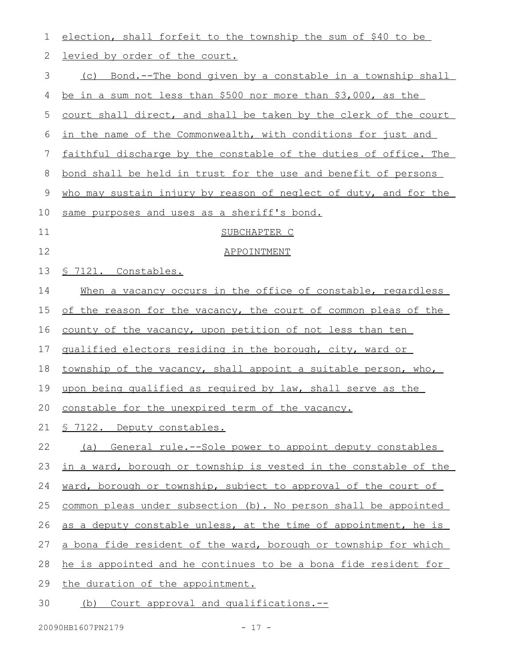| 1           | election, shall forfeit to the township the sum of \$40 to be    |
|-------------|------------------------------------------------------------------|
| 2           | levied by order of the court.                                    |
| 3           | (c) Bond.--The bond given by a constable in a township shall     |
| 4           | be in a sum not less than \$500 nor more than \$3,000, as the    |
| 5           | court shall direct, and shall be taken by the clerk of the court |
| 6           | in the name of the Commonwealth, with conditions for just and    |
| 7           | faithful discharge by the constable of the duties of office. The |
| 8           | bond shall be held in trust for the use and benefit of persons   |
| $\mathsf 9$ | who may sustain injury by reason of neglect of duty, and for the |
| 10          | same purposes and uses as a sheriff's bond.                      |
| 11          | SUBCHAPTER C                                                     |
| 12          | APPOINTMENT                                                      |
| 13          | § 7121. Constables.                                              |
| 14          | When a vacancy occurs in the office of constable, regardless     |
| 15          | of the reason for the vacancy, the court of common pleas of the  |
| 16          | county of the vacancy, upon petition of not less than ten        |
| 17          | qualified electors residing in the borough, city, ward or        |
| 18          | township of the vacancy, shall appoint a suitable person, who,   |
| 19          | upon being qualified as required by law, shall serve as the      |
|             | 20 constable for the unexpired term of the vacancy.              |
| 21          | <u>§ 7122. Deputy constables.</u>                                |
| 22          | (a) General rule.--Sole power to appoint deputy constables       |
| 23          | in a ward, borough or township is vested in the constable of the |
| 24          | ward, borough or township, subject to approval of the court of   |
| 25          | common pleas under subsection (b). No person shall be appointed  |
| 26          | as a deputy constable unless, at the time of appointment, he is  |
| 27          | a bona fide resident of the ward, borough or township for which  |
| 28          | he is appointed and he continues to be a bona fide resident for  |
| 29          | the duration of the appointment.                                 |
| 30          | (b) Court approval and qualifications.--                         |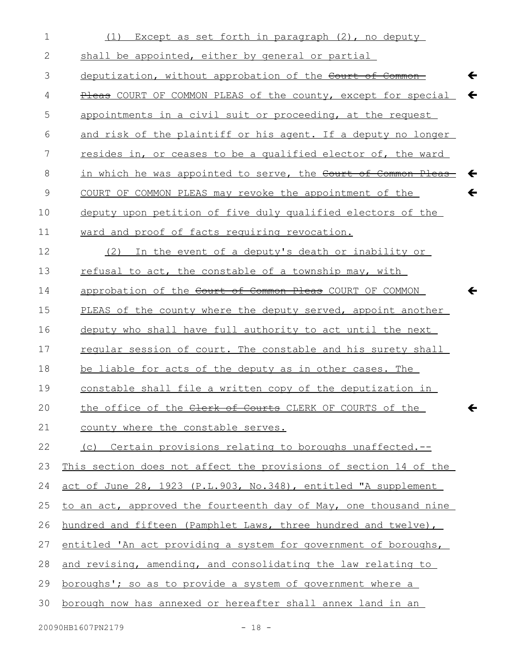| $\mathbf 1$    | Except as set forth in paragraph (2), no deputy<br>(1)                  |
|----------------|-------------------------------------------------------------------------|
| 2              | shall be appointed, either by general or partial                        |
| 3              | deputization, without approbation of the Court of Common-<br>←          |
| 4              | Pleas COURT OF COMMON PLEAS of the county, except for special           |
| 5              | appointments in a civil suit or proceeding, at the request              |
| 6              | and risk of the plaintiff or his agent. If a deputy no longer           |
| $\overline{7}$ | resides in, or ceases to be a qualified elector of, the ward            |
| 8              | in which he was appointed to serve, the Court of Common Pleas<br>←      |
| $\mathcal{G}$  | $\leftarrow$<br>COURT OF COMMON PLEAS may revoke the appointment of the |
| 10             | deputy upon petition of five duly qualified electors of the             |
| 11             | ward and proof of facts requiring revocation.                           |
| 12             | In the event of a deputy's death or inability or<br>(2)                 |
| 13             | refusal to act, the constable of a township may, with                   |
| 14             | approbation of the Court of Common Pleas COURT OF COMMON                |
| 15             | PLEAS of the county where the deputy served, appoint another            |
| 16             | deputy who shall have full authority to act until the next              |
| 17             | regular session of court. The constable and his surety shall            |
| 18             | be liable for acts of the deputy as in other cases. The                 |
| 19             | constable shall file a written copy of the deputization in              |
| 20             | the office of the Clerk of Courts CLERK OF COURTS of the<br>←           |
| 21             | county where the constable serves.                                      |
| 22             | (c) Certain provisions relating to boroughs unaffected.--               |
| 23             | This section does not affect the provisions of section 14 of the        |
| 24             | act of June 28, 1923 (P.L.903, No.348), entitled "A supplement          |
| 25             | to an act, approved the fourteenth day of May, one thousand nine        |
| 26             | hundred and fifteen (Pamphlet Laws, three hundred and twelve),          |
| 27             | entitled 'An act providing a system for government of boroughs,         |
| 28             | and revising, amending, and consolidating the law relating to           |
| 29             | <u>boroughs'; so as to provide a system of government where a</u>       |
| 30             | borough now has annexed or hereafter shall annex land in an             |
|                |                                                                         |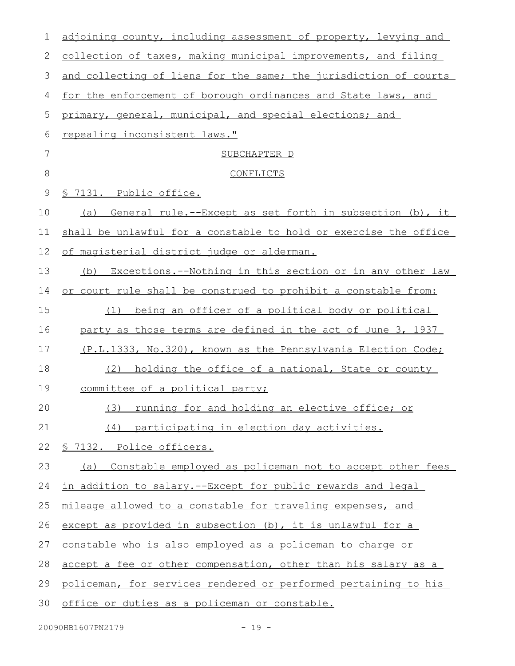| 1       | adjoining county, including assessment of property, levying and  |
|---------|------------------------------------------------------------------|
| 2       | collection of taxes, making municipal improvements, and filing   |
| 3       | and collecting of liens for the same; the jurisdiction of courts |
| 4       | for the enforcement of borough ordinances and State laws, and    |
| 5       | primary, general, municipal, and special elections; and          |
| 6       | repealing inconsistent laws."                                    |
| 7       | SUBCHAPTER D                                                     |
| $\,8\,$ | CONFLICTS                                                        |
| 9       | <u>S 7131. Public office.</u>                                    |
| 10      | (a) General rule.--Except as set forth in subsection (b), it     |
| 11      | shall be unlawful for a constable to hold or exercise the office |
| 12      | of magisterial district judge or alderman.                       |
| 13      | Exceptions.--Nothing in this section or in any other law<br>(b)  |
| 14      | or court rule shall be construed to prohibit a constable from:   |
| 15      | being an officer of a political body or political<br>(1)         |
| 16      | party as those terms are defined in the act of June 3, 1937      |
| 17      | (P.L.1333, No.320), known as the Pennsylvania Election Code;     |
| 18      | (2) holding the office of a national, State or county            |
| 19      | committee of a political party;                                  |
| 20      | (3) running for and holding an elective office; or               |
| 21      | (4) participating in election day activities.                    |
| 22      | § 7132. Police officers.                                         |
| 23      | Constable employed as policeman not to accept other fees<br>(a)  |
| 24      | in addition to salary.--Except for public rewards and legal      |
| 25      | mileage allowed to a constable for traveling expenses, and       |
| 26      | except as provided in subsection (b), it is unlawful for a       |
| 27      | constable who is also employed as a policeman to charge or       |
| 28      | accept a fee or other compensation, other than his salary as a   |
| 29      | policeman, for services rendered or performed pertaining to his  |
| 30      | office or duties as a policeman or constable.                    |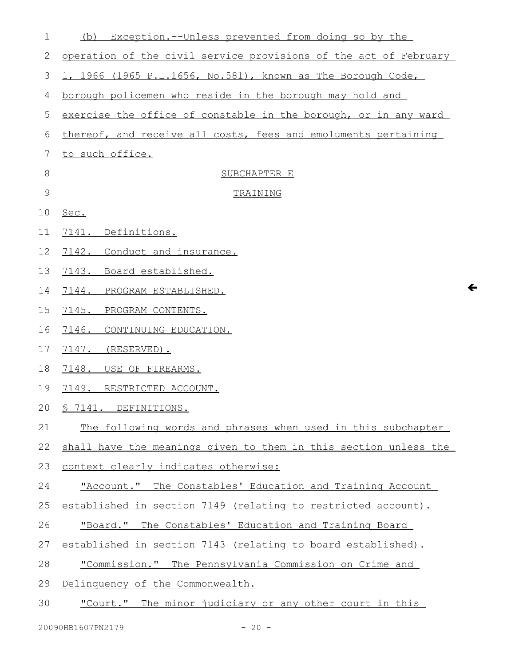| $\mathbf 1$   | Exception.--Unless prevented from doing so by the<br>(b)         |
|---------------|------------------------------------------------------------------|
| 2             | operation of the civil service provisions of the act of February |
| 3             | 1, 1966 (1965 P.L.1656, No.581), known as The Borough Code,      |
| 4             | borough policemen who reside in the borough may hold and         |
| 5             | exercise the office of constable in the borough, or in any ward  |
| 6             | thereof, and receive all costs, fees and emoluments pertaining   |
| 7             | to such office.                                                  |
| 8             | SUBCHAPTER E                                                     |
| $\mathcal{G}$ | TRAINING                                                         |
| 10            | Sec.                                                             |
| 11            | 7141. Definitions.                                               |
| 12            | 7142. Conduct and insurance.                                     |
| 13            | 7143.<br>Board established.                                      |
| 14            | $\leftarrow$<br>7144.<br>PROGRAM ESTABLISHED.                    |
| 15            | 7145. PROGRAM CONTENTS.                                          |
| 16            | 7146.<br>CONTINUING EDUCATION.                                   |
| 17            | 7147.<br>(RESERVED).                                             |
| 18            | 7148. USE OF FIREARMS.                                           |
| 19            | 7149. RESTRICTED ACCOUNT.                                        |
| 20            | <u>S 7141. DEFINITIONS.</u>                                      |
| 21            | The following words and phrases when used in this subchapter     |
| 22            | shall have the meanings given to them in this section unless the |
| 23            | context clearly indicates otherwise:                             |
| 24            | "Account." The Constables' Education and Training Account        |
| 25            | established in section 7149 (relating to restricted account).    |
| 26            | "Board." The Constables' Education and Training Board            |
| 27            | established in section 7143 (relating to board established).     |
| 28            | "Commission." The Pennsylvania Commission on Crime and           |
| 29            | Delinquency of the Commonwealth.                                 |
| 30            | "Court." The minor judiciary or any other court in this          |
|               |                                                                  |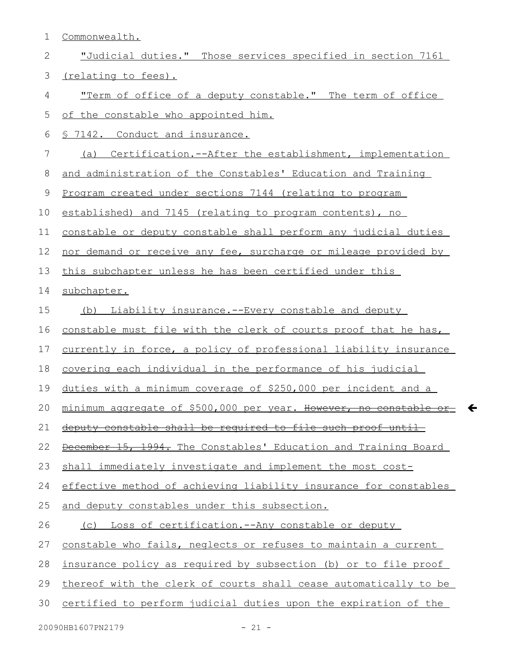Commonwealth. "Judicial duties." Those services specified in section 7161 (relating to fees). "Term of office of a deputy constable." The term of office of the constable who appointed him. § 7142. Conduct and insurance. (a) Certification.--After the establishment, implementation and administration of the Constables' Education and Training Program created under sections 7144 (relating to program established) and 7145 (relating to program contents), no constable or deputy constable shall perform any judicial duties nor demand or receive any fee, surcharge or mileage provided by this subchapter unless he has been certified under this subchapter. (b) Liability insurance.--Every constable and deputy constable must file with the clerk of courts proof that he has, currently in force, a policy of professional liability insurance covering each individual in the performance of his judicial duties with a minimum coverage of \$250,000 per incident and a minimum aggregate of \$500,000 per year. However, no constable or deputy constable shall be required to file such proof until December 15, 1994. The Constables' Education and Training Board shall immediately investigate and implement the most costeffective method of achieving liability insurance for constables and deputy constables under this subsection. (c) Loss of certification.--Any constable or deputy constable who fails, neglects or refuses to maintain a current insurance policy as required by subsection (b) or to file proof thereof with the clerk of courts shall cease automatically to be certified to perform judicial duties upon the expiration of the 1 2 3 4 5 6 7 8 9 10 11 12 13 14 15 16 17 18 19 20 21 22 23 24 25 26 27 28 29 30

 $\leftarrow$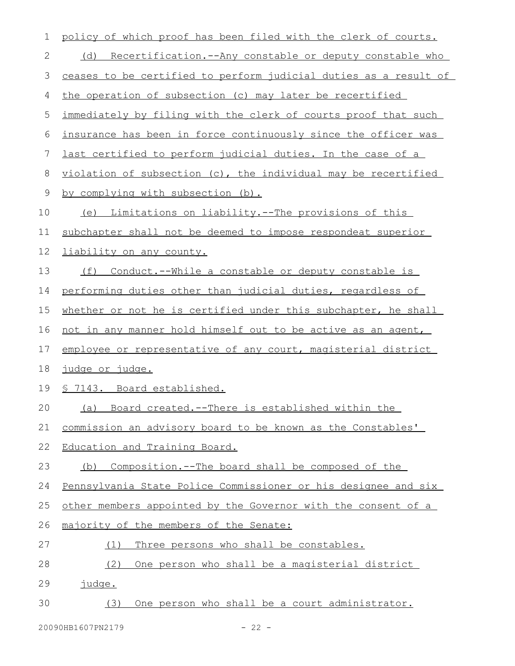| 1  | policy of which proof has been filed with the clerk of courts.     |
|----|--------------------------------------------------------------------|
| 2  | (d) Recertification.--Any constable or deputy constable who        |
| 3  | ceases to be certified to perform judicial duties as a result of   |
| 4  | the operation of subsection (c) may later be recertified           |
| 5  | immediately by filing with the clerk of courts proof that such     |
| 6  | insurance has been in force continuously since the officer was     |
| 7  | <u>last certified to perform judicial duties. In the case of a</u> |
| 8  | violation of subsection (c), the individual may be recertified     |
| 9  | by complying with subsection (b).                                  |
| 10 | (e) Limitations on liability.--The provisions of this              |
| 11 | subchapter shall not be deemed to impose respondeat superior       |
| 12 | liability on any county.                                           |
| 13 | (f) Conduct.--While a constable or deputy constable is             |
| 14 | performing duties other than judicial duties, regardless of        |
| 15 | whether or not he is certified under this subchapter, he shall     |
| 16 | not in any manner hold himself out to be active as an agent,       |
| 17 | employee or representative of any court, magisterial district      |
| 18 | <u>judge or judge.</u>                                             |
| 19 | § 7143. Board established.                                         |
| 20 | (a) Board created.--There is established within the                |
| 21 | commission an advisory board to be known as the Constables'        |
| 22 | Education and Training Board.                                      |
| 23 | Composition.--The board shall be composed of the<br>(b)            |
| 24 | Pennsylvania State Police Commissioner or his designee and six     |
| 25 | other members appointed by the Governor with the consent of a      |
| 26 | majority of the members of the Senate:                             |
| 27 | Three persons who shall be constables.<br>(1)                      |
| 28 | One person who shall be a magisterial district<br>(2)              |
| 29 | iudge.                                                             |
| 30 | One person who shall be a court administrator.<br>(3)              |
|    |                                                                    |

20090HB1607PN2179 - 22 -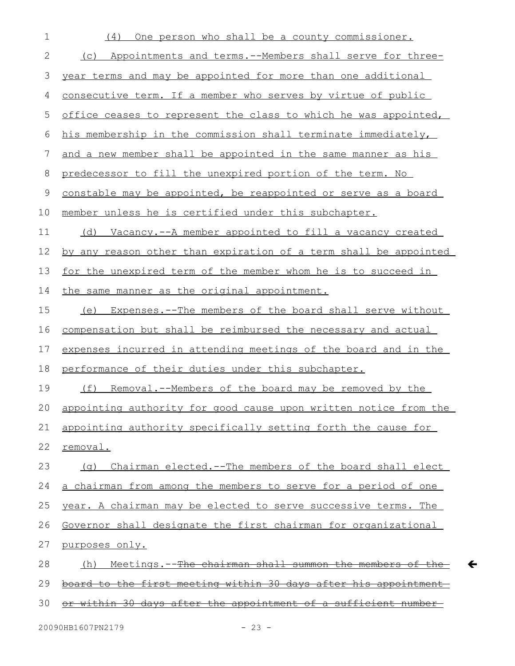| $\mathbf 1$ | One person who shall be a county commissioner.<br>(4)               |
|-------------|---------------------------------------------------------------------|
| 2           | Appointments and terms.--Members shall serve for three-<br>(C)      |
| 3           | year terms and may be appointed for more than one additional        |
| 4           | consecutive term. If a member who serves by virtue of public        |
| 5           | office ceases to represent the class to which he was appointed,     |
| 6           | his membership in the commission shall terminate immediately,       |
| 7           | and a new member shall be appointed in the same manner as his       |
| 8           | predecessor to fill the unexpired portion of the term. No           |
| 9           | constable may be appointed, be reappointed or serve as a board      |
| 10          | member unless he is certified under this subchapter.                |
| 11          | (d) Vacancy.--A member appointed to fill a vacancy created          |
| 12          | by any reason other than expiration of a term shall be appointed    |
| 13          | for the unexpired term of the member whom he is to succeed in       |
| 14          | the same manner as the original appointment.                        |
| 15          | (e) Expenses.--The members of the board shall serve without         |
| 16          | compensation but shall be reimbursed the necessary and actual       |
| 17          | expenses incurred in attending meetings of the board and in the     |
| 18          | performance of their duties under this subchapter.                  |
| 19          | (f) Removal.--Members of the board may be removed by the            |
| 20          | appointing authority for good cause upon written notice from the    |
| 21          | appointing authority specifically setting forth the cause for       |
| 22          | removal.                                                            |
| 23          | Chairman elected.--The members of the board shall elect<br>( a )    |
| 24          | a chairman from among the members to serve for a period of one      |
| 25          | year. A chairman may be elected to serve successive terms. The      |
| 26          | Governor shall designate the first chairman for organizational      |
| 27          | purposes only.                                                      |
| 28          | Meetings.--The chairman shall summon the members of the-<br>(h)     |
| 29          | board to the first meeting within 30 days after his appointment     |
| 30          | <u>within 30 days after the appointment of a sufficient number-</u> |

 $\leftarrow$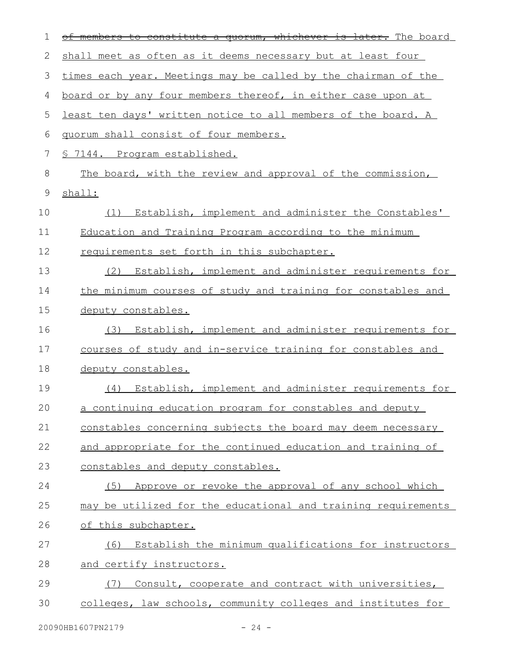| 1           | quorum, whichever is later. The board<br>members to constitute a |
|-------------|------------------------------------------------------------------|
| 2           | shall meet as often as it deems necessary but at least four      |
| 3           | times each year. Meetings may be called by the chairman of the   |
| 4           | board or by any four members thereof, in either case upon at     |
| 5           | least ten days' written notice to all members of the board. A    |
| 6           | quorum shall consist of four members.                            |
| 7           | § 7144. Program established.                                     |
| 8           | The board, with the review and approval of the commission,       |
| $\mathsf 9$ | shall:                                                           |
| 10          | (1) Establish, implement and administer the Constables'          |
| 11          | Education and Training Program according to the minimum          |
| 12          | requirements set forth in this subchapter.                       |
| 13          | Establish, implement and administer requirements for<br>(2)      |
| 14          | the minimum courses of study and training for constables and     |
| 15          | deputy constables.                                               |
| 16          | Establish, implement and administer requirements for<br>(3)      |
| 17          | courses of study and in-service training for constables and      |
| 18          | deputy constables.                                               |
| 19          | Establish, implement and administer requirements for<br>(4)      |
| 20          | a continuing education program for constables and deputy         |
| 21          | constables concerning subjects the board may deem necessary      |
| 22          | and appropriate for the continued education and training of      |
| 23          | constables and deputy constables.                                |
| 24          | Approve or revoke the approval of any school which<br>(5)        |
| 25          | may be utilized for the educational and training requirements    |
| 26          | of this subchapter.                                              |
| 27          | (6) Establish the minimum qualifications for instructors         |
| 28          | and certify instructors.                                         |
| 29          | Consult, cooperate and contract with universities,<br>(7)        |
| 30          | colleges, law schools, community colleges and institutes for     |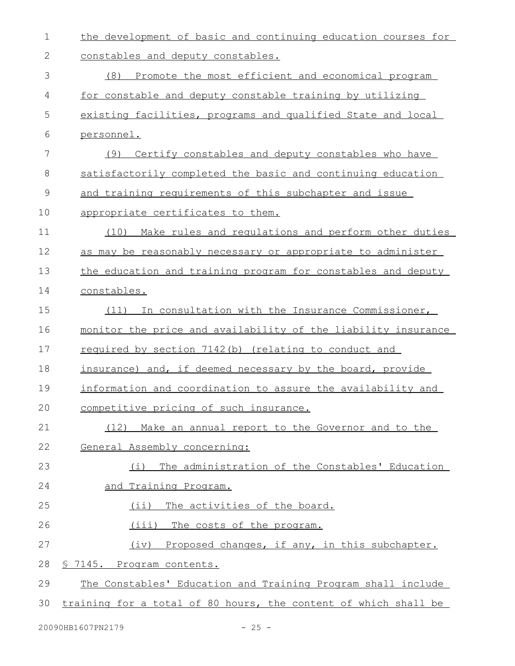| $\mathbf 1$  | the development of basic and continuing education courses for   |
|--------------|-----------------------------------------------------------------|
| $\mathbf{2}$ | constables and deputy constables.                               |
| 3            | (8) Promote the most efficient and economical program           |
| 4            | for constable and deputy constable training by utilizing        |
| 5            | existing facilities, programs and qualified State and local     |
| 6            | personnel.                                                      |
| 7            | (9) Certify constables and deputy constables who have           |
| 8            | satisfactorily completed the basic and continuing education     |
| 9            | and training requirements of this subchapter and issue          |
| 10           | appropriate certificates to them.                               |
| 11           | (10) Make rules and regulations and perform other duties        |
| 12           | as may be reasonably necessary or appropriate to administer     |
| 13           | the education and training program for constables and deputy    |
| 14           | constables.                                                     |
| 15           | (11) In consultation with the Insurance Commissioner,           |
| 16           | monitor the price and availability of the liability insurance   |
| 17           | required by section 7142(b) (relating to conduct and            |
| 18           | insurance) and, if deemed necessary by the board, provide       |
| 19           | information and coordination to assure the availability and     |
| 20           | competitive pricing of such insurance.                          |
| 21           | (12) Make an annual report to the Governor and to the           |
| 22           | General Assembly concerning:                                    |
| 23           | The administration of the Constables' Education<br>(i)          |
| 24           | <u>and Training Program.</u>                                    |
| 25           | (ii) The activities of the board.                               |
| 26           | (iii) The costs of the program.                                 |
| 27           | (iv) Proposed changes, if any, in this subchapter.              |
| 28           | <u>S 7145. Program contents.</u>                                |
| 29           | The Constables' Education and Training Program shall include    |
| 30           | training for a total of 80 hours, the content of which shall be |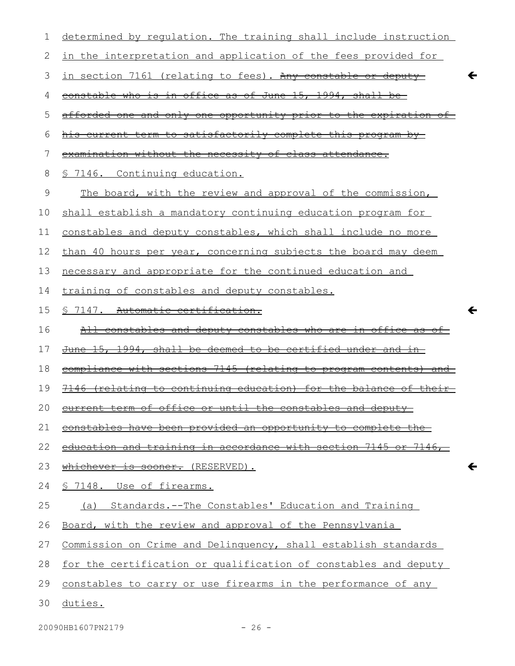| 1  | determined by requlation. The training shall include instruction     |
|----|----------------------------------------------------------------------|
| 2  | in the interpretation and application of the fees provided for       |
| 3  | <u>in section 7161 (relating to fees). Any constable or deputy-</u>  |
| 4  | constable who is in office as of June 15, 1994, shall be             |
| 5  | afforded one and only one opportunity prior to the expiration of     |
| 6  | <u>current term to satisfactorily complete this program by-</u>      |
| 7  | examination without the necessity of class attendance.               |
| 8  | 7146. Continuing education.<br>$\approx$                             |
| 9  | The board, with the review and approval of the commission,           |
| 10 | shall establish a mandatory continuing education program for         |
| 11 | constables and deputy constables, which shall include no more        |
| 12 | than 40 hours per year, concerning subjects the board may deem       |
| 13 | necessary and appropriate for the continued education and            |
| 14 | training of constables and deputy constables.                        |
| 15 | $\leftarrow$<br>\$ 7147. Automatic certification.                    |
| 16 | <u>All constables and deputy constables who are in office as of-</u> |
| 17 | June 15, 1994, shall be deemed to be certified under and in-         |
| 18 | compliance with sections 7145 (relating to program contents) and     |
| 19 | 7146 (relating to continuing education) for the balance of their     |
| 20 | $\alpha$<br><del>anu ueputy</del>                                    |
| 21 | constables have been provided an opportunity to complete the         |
| 22 | education and training in accordance with section 7145 or 7146,      |
| 23 | whichever is sooner. (RESERVED).<br>←                                |
| 24 | § 7148. Use of firearms.                                             |
| 25 | Standards.--The Constables' Education and Training<br>(a)            |
| 26 | Board, with the review and approval of the Pennsylvania              |
| 27 | Commission on Crime and Delinquency, shall establish standards       |
| 28 | for the certification or qualification of constables and deputy      |
| 29 | constables to carry or use firearms in the performance of any        |
| 30 | duties.                                                              |
|    |                                                                      |

20090HB1607PN2179 - 26 -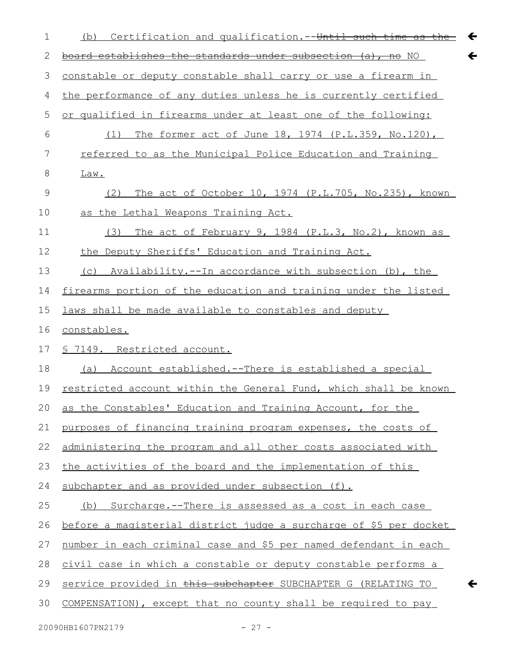| 1             | Certification and qualification. -- Until such time as the<br>$\leftarrow$<br>(b) |
|---------------|-----------------------------------------------------------------------------------|
| 2             | $\leftarrow$<br>board establishes the standards under subsection (a), no NO       |
| 3             | constable or deputy constable shall carry or use a firearm in                     |
| 4             | the performance of any duties unless he is currently certified                    |
| 5             | or qualified in firearms under at least one of the following:                     |
| 6             | (1) The former act of June 18, 1974 (P.L.359, No.120),                            |
| 7             | referred to as the Municipal Police Education and Training                        |
| 8             | Law.                                                                              |
| $\mathcal{G}$ | (2) The act of October 10, 1974 (P.L.705, No.235), known                          |
| 10            | as the Lethal Weapons Training Act.                                               |
| 11            | The act of February 9, 1984 (P.L.3, No.2), known as<br>(3)                        |
| 12            | the Deputy Sheriffs' Education and Training Act.                                  |
| 13            | (c) Availability.--In accordance with subsection (b), the                         |
| 14            | firearms portion of the education and training under the listed                   |
| 15            | laws shall be made available to constables and deputy                             |
| 16            | constables.                                                                       |
| 17            | <u>S 7149. Restricted account.</u>                                                |
| 18            | (a) Account established.--There is established a special                          |
| 19            | restricted account within the General Fund, which shall be known                  |
| 20            | as the Constables' Education and Training Account, for the                        |
| 21            | purposes of financing training program expenses, the costs of                     |
| 22            | administering the program and all other costs associated with                     |
| 23            | the activities of the board and the implementation of this                        |
| 24            | subchapter and as provided under subsection (f).                                  |
| 25            | (b) Surcharge.--There is assessed as a cost in each case                          |
| 26            | before a magisterial district judge a surcharge of \$5 per docket                 |
| 27            | number in each criminal case and \$5 per named defendant in each                  |
| 28            | civil case in which a constable or deputy constable performs a                    |
| 29            | service provided in this subchapter SUBCHAPTER G (RELATING TO<br>←                |
| 30            | COMPENSATION), except that no county shall be required to pay                     |
|               |                                                                                   |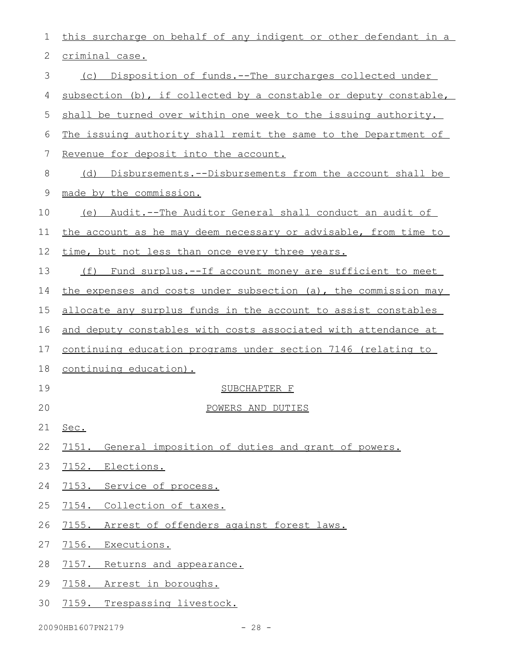| 1  | this surcharge on behalf of any indigent or other defendant in a      |
|----|-----------------------------------------------------------------------|
| 2  | criminal case.                                                        |
| 3  | (c) Disposition of funds.--The surcharges collected under             |
| 4  | subsection (b), if collected by a constable or deputy constable,      |
| 5  | shall be turned over within one week to the issuing authority.        |
| 6  | The issuing authority shall remit the same to the Department of       |
| 7  | Revenue for deposit into the account.                                 |
| 8  | Disbursements.--Disbursements from the account shall be<br>(d)        |
| 9  | made by the commission.                                               |
| 10 | Audit.--The Auditor General shall conduct an audit of<br>(e)          |
| 11 | the account as he may deem necessary or advisable, from time to       |
| 12 | time, but not less than once every three years.                       |
| 13 | Fund surplus.--If account money are sufficient to meet<br>(f)         |
| 14 | the expenses and costs under subsection (a), the commission may       |
| 15 | allocate any surplus funds in the account to assist constables        |
| 16 | and deputy constables with costs associated with attendance at        |
| 17 | <u>continuing education programs under section 7146 (relating to </u> |
| 18 | continuing education).                                                |
| 19 | SUBCHAPTER F                                                          |
| 20 | POWERS AND DUTIES                                                     |
| 21 | Sec.                                                                  |
| 22 | 7151. General imposition of duties and grant of powers.               |
| 23 | 7152. Elections.                                                      |
| 24 | 7153. Service of process.                                             |
| 25 | 7154. Collection of taxes.                                            |
| 26 | 7155. Arrest of offenders against forest laws.                        |
| 27 | 7156. Executions.                                                     |
| 28 | 7157. Returns and appearance.                                         |
| 29 | 7158. Arrest in boroughs.                                             |
| 30 | 7159. Trespassing livestock.                                          |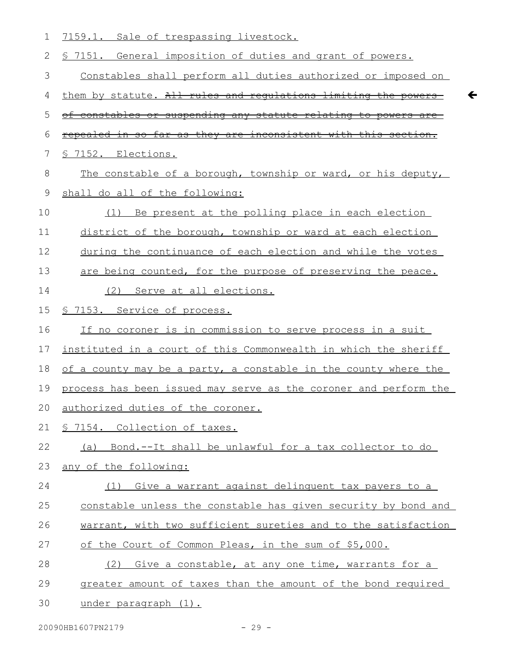| 1           | 7159.1.<br>Sale of trespassing livestock.                        |
|-------------|------------------------------------------------------------------|
| 2           | \$ 7151. General imposition of duties and grant of powers.       |
| 3           | Constables shall perform all duties authorized or imposed on     |
| 4           | them by statute. All rules and requlations limiting the powers   |
| 5           | of constables or suspending any statute relating to powers are   |
| 6           | repealed in so far as they are inconsistent with this section.   |
| 7           | 7152. Elections.                                                 |
| 8           | The constable of a borough, township or ward, or his deputy,     |
| $\mathsf 9$ | shall do all of the following:                                   |
| 10          | Be present at the polling place in each election<br>(1)          |
| 11          | district of the borough, township or ward at each election       |
| 12          | during the continuance of each election and while the votes      |
| 13          | are being counted, for the purpose of preserving the peace.      |
| 14          | (2) Serve at all elections.                                      |
| 15          | § 7153. Service of process.                                      |
| 16          | If no coroner is in commission to serve process in a suit        |
| 17          | instituted in a court of this Commonwealth in which the sheriff  |
| 18          | of a county may be a party, a constable in the county where the  |
| 19          | process has been issued may serve as the coroner and perform the |
| 20          | authorized duties of the coroner.                                |
| 21          | § 7154. Collection of taxes.                                     |
| 22          | (a) Bond.--It shall be unlawful for a tax collector to do        |
| 23          | any of the following:                                            |
| 24          | (1) Give a warrant against delinquent tax payers to a            |
| 25          | constable unless the constable has given security by bond and    |
| 26          | warrant, with two sufficient sureties and to the satisfaction    |
| 27          | of the Court of Common Pleas, in the sum of \$5,000.             |
| 28          | Give a constable, at any one time, warrants for a<br>(2)         |
| 29          | greater amount of taxes than the amount of the bond required     |
| 30          | under paragraph (1).                                             |

 $\leftarrow$ 

20090HB1607PN2179 - 29 -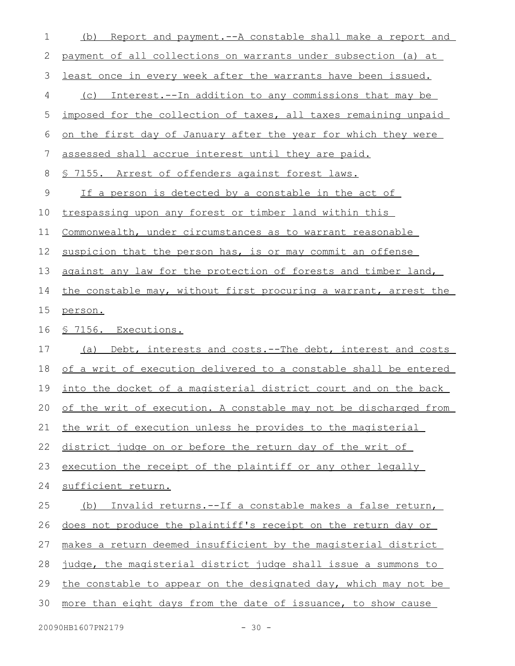| 1           | Report and payment.--A constable shall make a report and<br>(b)     |
|-------------|---------------------------------------------------------------------|
| 2           | payment of all collections on warrants under subsection (a) at      |
| 3           | least once in every week after the warrants have been issued.       |
| 4           | Interest.--In addition to any commissions that may be<br>(C)        |
| 5           | imposed for the collection of taxes, all taxes remaining unpaid     |
| 6           | on the first day of January after the year for which they were      |
| 7           | assessed shall accrue interest until they are paid.                 |
| 8           | \$ 7155. Arrest of offenders against forest laws.                   |
| $\mathsf 9$ | <u>If a person is detected by a constable in the act of</u>         |
| 10          | trespassing upon any forest or timber land within this              |
| 11          | Commonwealth, under circumstances as to warrant reasonable          |
| 12          | suspicion that the person has, is or may commit an offense          |
| 13          | against any law for the protection of forests and timber land,      |
| 14          | the constable may, without first procuring a warrant, arrest the    |
| 15          | person.                                                             |
| 16          | <u>S 7156. Executions.</u>                                          |
| 17          | (a) Debt, interests and costs.--The debt, interest and costs        |
| 18          | of a writ of execution delivered to a constable shall be entered    |
| 19          | into the docket of a magisterial district court and on the back     |
|             | 20 of the writ of execution. A constable may not be discharged from |
| 21          | the writ of execution unless he provides to the magisterial         |
| 22          | district judge on or before the return day of the writ of           |
| 23          | execution the receipt of the plaintiff or any other legally         |
| 24          | sufficient return.                                                  |
| 25          | Invalid returns.--If a constable makes a false return,<br>(b)       |
| 26          | does not produce the plaintiff's receipt on the return day or       |
| 27          | makes a return deemed insufficient by the magisterial district      |
| 28          | judge, the magisterial district judge shall issue a summons to      |
| 29          | the constable to appear on the designated day, which may not be     |
| 30          | more than eight days from the date of issuance, to show cause       |
|             |                                                                     |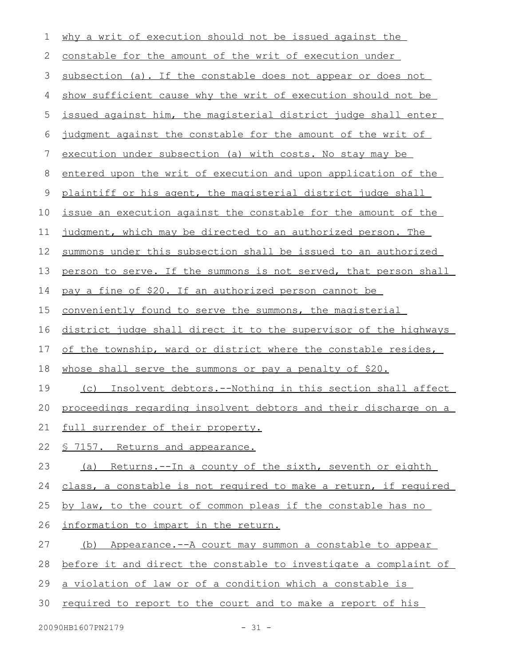| 1  | why a writ of execution should not be issued against the         |
|----|------------------------------------------------------------------|
| 2  | constable for the amount of the writ of execution under          |
| 3  | subsection (a). If the constable does not appear or does not     |
| 4  | show sufficient cause why the writ of execution should not be    |
| 5  | issued against him, the magisterial district judge shall enter   |
| 6  | judgment against the constable for the amount of the writ of     |
| 7  | execution under subsection (a) with costs. No stay may be        |
| 8  | entered upon the writ of execution and upon application of the   |
| 9  | plaintiff or his agent, the magisterial district judge shall     |
| 10 | issue an execution against the constable for the amount of the   |
| 11 | judgment, which may be directed to an authorized person. The     |
| 12 | summons under this subsection shall be issued to an authorized   |
| 13 | person to serve. If the summons is not served, that person shall |
| 14 | pay a fine of \$20. If an authorized person cannot be            |
| 15 | conveniently found to serve the summons, the magisterial         |
| 16 | district judge shall direct it to the supervisor of the highways |
| 17 | of the township, ward or district where the constable resides,   |
| 18 | whose shall serve the summons or pay a penalty of \$20.          |
| 19 | (c) Insolvent debtors.--Nothing in this section shall affect     |
| 20 | proceedings regarding insolvent debtors and their discharge on a |
| 21 | full surrender of their property.                                |
| 22 | § 7157. Returns and appearance.                                  |
| 23 | (a) Returns.--In a county of the sixth, seventh or eighth        |
| 24 | class, a constable is not required to make a return, if required |
| 25 | by law, to the court of common pleas if the constable has no     |
| 26 | information to impart in the return.                             |
| 27 | (b) Appearance.--A court may summon a constable to appear        |
| 28 | before it and direct the constable to investigate a complaint of |
| 29 | a violation of law or of a condition which a constable is        |
| 30 | required to report to the court and to make a report of his      |
|    |                                                                  |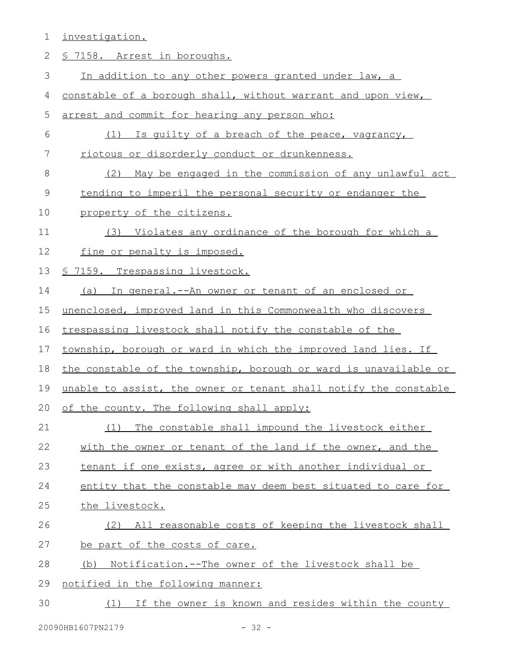1 investigation.

| 2             | <u>§ 7158. Arrest in boroughs.</u>                               |
|---------------|------------------------------------------------------------------|
| 3             | In addition to any other powers granted under law, a             |
| 4             | constable of a borough shall, without warrant and upon view,     |
| 5             | arrest and commit for hearing any person who:                    |
| 6             | (1) Is quilty of a breach of the peace, vagrancy,                |
| 7             | riotous or disorderly conduct or drunkenness.                    |
| 8             | May be engaged in the commission of any unlawful act<br>(2)      |
| $\mathcal{G}$ | tending to imperil the personal security or endanger the         |
| 10            | property of the citizens.                                        |
| 11            | (3) Violates any ordinance of the borough for which a            |
| 12            | fine or penalty is imposed.                                      |
| 13            | § 7159. Trespassing livestock.                                   |
| 14            | (a) In general. -- An owner or tenant of an enclosed or          |
| 15            | unenclosed, improved land in this Commonwealth who discovers     |
| 16            | trespassing livestock shall notify the constable of the          |
| 17            | township, borough or ward in which the improved land lies. If    |
| 18            | the constable of the township, borough or ward is unavailable or |
| 19            | unable to assist, the owner or tenant shall notify the constable |
| 20            | of the county. The following shall apply:                        |
| 21            | The constable shall impound the livestock either<br>(1)          |
| 22            | with the owner or tenant of the land if the owner, and the       |
| 23            | tenant if one exists, agree or with another individual or        |
| 24            | entity that the constable may deem best situated to care for     |
| 25            | the livestock.                                                   |
| 26            | All reasonable costs of keeping the livestock shall<br>(2)       |
| 27            | be part of the costs of care.                                    |
| 28            | <u>Notification.--The owner of the livestock shall be</u><br>(b) |
| 29            | notified in the following manner:                                |
| 30            | (1) If the owner is known and resides within the county          |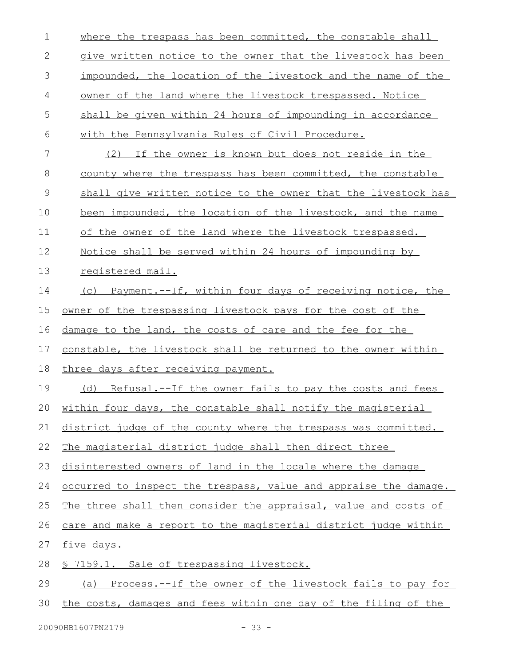| $\mathbf 1$  | where the trespass has been committed, the constable shall       |
|--------------|------------------------------------------------------------------|
| $\mathbf{2}$ | give written notice to the owner that the livestock has been     |
| 3            | impounded, the location of the livestock and the name of the     |
| 4            | owner of the land where the livestock trespassed. Notice         |
| 5            | shall be given within 24 hours of impounding in accordance       |
| 6            | with the Pennsylvania Rules of Civil Procedure.                  |
| 7            | (2) If the owner is known but does not reside in the             |
| 8            | county where the trespass has been committed, the constable      |
| $\mathsf 9$  | shall give written notice to the owner that the livestock has    |
| 10           | been impounded, the location of the livestock, and the name      |
| 11           | of the owner of the land where the livestock trespassed.         |
| 12           | Notice shall be served within 24 hours of impounding by          |
| 13           | registered mail.                                                 |
| 14           | (c) Payment.--If, within four days of receiving notice, the      |
| 15           | owner of the trespassing livestock pays for the cost of the      |
| 16           | damage to the land, the costs of care and the fee for the        |
| 17           | constable, the livestock shall be returned to the owner within   |
| 18           | three days after receiving payment.                              |
| 19           | Refusal.--If the owner fails to pay the costs and fees<br>(d)    |
| 20           | within four days, the constable shall notify the magisterial     |
| 21           | district judge of the county where the trespass was committed.   |
| 22           | The magisterial district judge shall then direct three           |
| 23           | disinterested owners of land in the locale where the damage      |
| 24           | occurred to inspect the trespass, value and appraise the damage. |
| 25           | The three shall then consider the appraisal, value and costs of  |
| 26           | care and make a report to the magisterial district judge within  |
| 27           | five days.                                                       |
| 28           | § 7159.1. Sale of trespassing livestock.                         |
| 29           | (a) Process.--If the owner of the livestock fails to pay for     |
| 30           | the costs, damages and fees within one day of the filing of the  |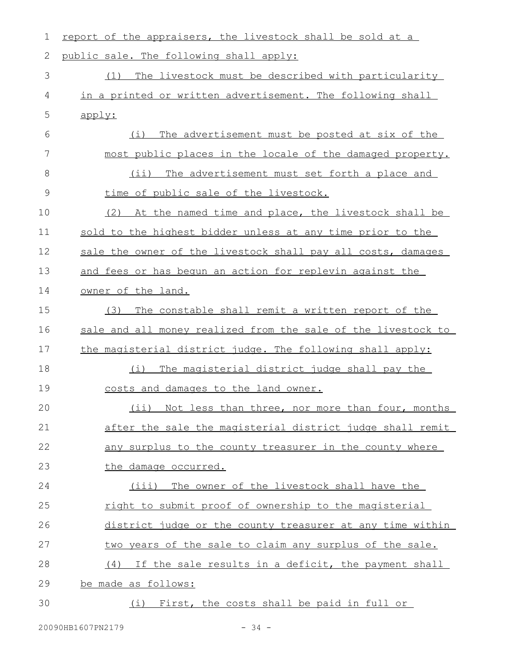| $\mathbf 1$   | report of the appraisers, the livestock shall be sold at a    |
|---------------|---------------------------------------------------------------|
| $\mathbf{2}$  | public sale. The following shall apply:                       |
| 3             | The livestock must be described with particularity<br>(1)     |
| 4             | in a printed or written advertisement. The following shall    |
| 5             | apply:                                                        |
| 6             | The advertisement must be posted at six of the<br>(i)         |
| 7             | most public places in the locale of the damaged property.     |
| 8             | (ii) The advertisement must set forth a place and             |
| $\mathcal{G}$ | time of public sale of the livestock.                         |
| 10            | (2) At the named time and place, the livestock shall be       |
| 11            | sold to the highest bidder unless at any time prior to the    |
| 12            | sale the owner of the livestock shall pay all costs, damages  |
| 13            | and fees or has begun an action for replevin against the      |
| 14            | owner of the land.                                            |
| 15            | The constable shall remit a written report of the<br>(3)      |
| 16            | sale and all money realized from the sale of the livestock to |
| 17            | the magisterial district judge. The following shall apply:    |
| 18            | The magisterial district judge shall pay the<br>(i)           |
| 19            | costs and damages to the land owner.                          |
| 20            | (ii) Not less than three, nor more than four, months          |
| 21            | after the sale the magisterial district judge shall remit     |
| 22            | any surplus to the county treasurer in the county where       |
| 23            | the damage occurred.                                          |
| 24            | (iii) The owner of the livestock shall have the               |
| 25            | right to submit proof of ownership to the magisterial         |
| 26            | district judge or the county treasurer at any time within     |
| 27            | two years of the sale to claim any surplus of the sale.       |
| 28            | (4) If the sale results in a deficit, the payment shall       |
| 29            | be made as follows:                                           |
| 30            | First, the costs shall be paid in full or<br>(i)              |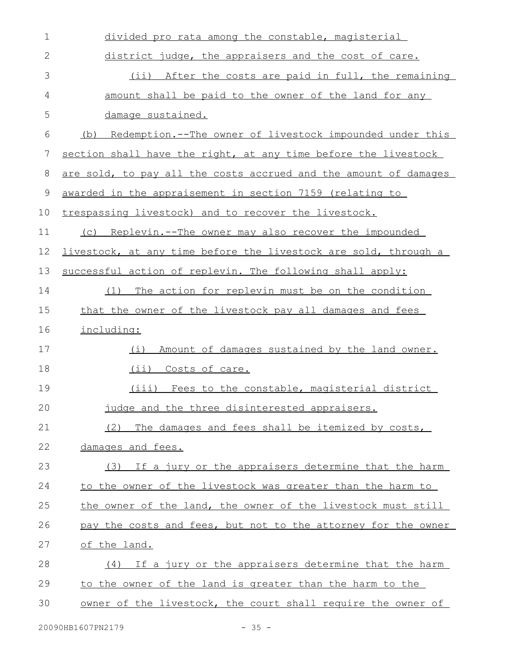| 1           | divided pro rata among the constable, magisterial                |
|-------------|------------------------------------------------------------------|
| $\mathbf 2$ | district judge, the appraisers and the cost of care.             |
| 3           | (ii) After the costs are paid in full, the remaining             |
| 4           | amount shall be paid to the owner of the land for any            |
| 5           | damage sustained.                                                |
| 6           | (b) Redemption.--The owner of livestock impounded under this     |
| 7           | section shall have the right, at any time before the livestock   |
| 8           | are sold, to pay all the costs accrued and the amount of damages |
| 9           | awarded in the appraisement in section 7159 (relating to         |
| 10          | trespassing livestock) and to recover the livestock.             |
| 11          | (c) Replevin.--The owner may also recover the impounded          |
| 12          | livestock, at any time before the livestock are sold, through a  |
| 13          | successful action of replevin. The following shall apply:        |
| 14          | The action for replevin must be on the condition<br>(1)          |
| 15          | that the owner of the livestock pay all damages and fees         |
| 16          | including:                                                       |
| 17          | Amount of damages sustained by the land owner.<br>(i)            |
| 18          | (ii) Costs of care.                                              |
| 19          | (iii) Fees to the constable, magisterial district                |
| 20          | judge and the three disinterested appraisers.                    |
| 21          | The damages and fees shall be itemized by costs,<br>(2)          |
| 22          | damages and fees.                                                |
| 23          | If a jury or the appraisers determine that the harm<br>(3)       |
| 24          | to the owner of the livestock was greater than the harm to       |
| 25          | the owner of the land, the owner of the livestock must still     |
| 26          | pay the costs and fees, but not to the attorney for the owner    |
| 27          | of the land.                                                     |
| 28          | If a jury or the appraisers determine that the harm<br>(4)       |
| 29          | to the owner of the land is greater than the harm to the         |
| 30          | owner of the livestock, the court shall require the owner of     |
|             |                                                                  |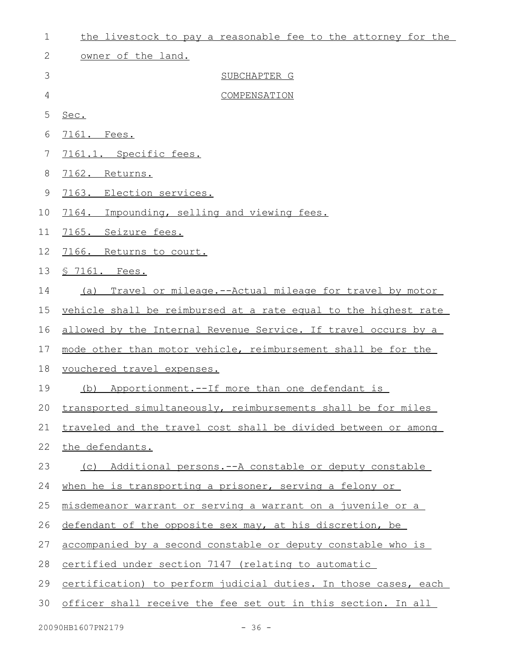| $\mathbf 1$ | the livestock to pay a reasonable fee to the attorney for the   |
|-------------|-----------------------------------------------------------------|
| 2           | owner of the land.                                              |
| 3           | SUBCHAPTER G                                                    |
| 4           | COMPENSATION                                                    |
| 5           | Sec.                                                            |
| 6           | 7161. Fees.                                                     |
| 7           | 7161.1. Specific fees.                                          |
| 8           | 7162. Returns.                                                  |
| $\mathsf 9$ | 7163. Election services.                                        |
| 10          | 7164. Impounding, selling and viewing fees.                     |
| 11          | 7165. Seizure fees.                                             |
| 12          | 7166. Returns to court.                                         |
| 13          | <u>S 7161. Fees.</u>                                            |
| 14          | Travel or mileage.--Actual mileage for travel by motor<br>(a)   |
| 15          | vehicle shall be reimbursed at a rate equal to the highest rate |
| 16          | allowed by the Internal Revenue Service. If travel occurs by a  |
| 17          | mode other than motor vehicle, reimbursement shall be for the   |
| 18          | vouchered travel expenses.                                      |
| 19          | (b) Apportionment.--If more than one defendant is               |
| 20          | transported simultaneously, reimbursements shall be for miles   |
| 21          | traveled and the travel cost shall be divided between or among  |
| 22          | the defendants.                                                 |
| 23          | (c) Additional persons.--A constable or deputy constable        |
| 24          | when he is transporting a prisoner, serving a felony or         |
| 25          | misdemeanor warrant or serving a warrant on a juvenile or a     |
| 26          | defendant of the opposite sex may, at his discretion, be        |
| 27          | accompanied by a second constable or deputy constable who is    |
| 28          | certified under section 7147 (relating to automatic             |
| 29          | certification) to perform judicial duties. In those cases, each |
| 30          | officer shall receive the fee set out in this section. In all   |
|             |                                                                 |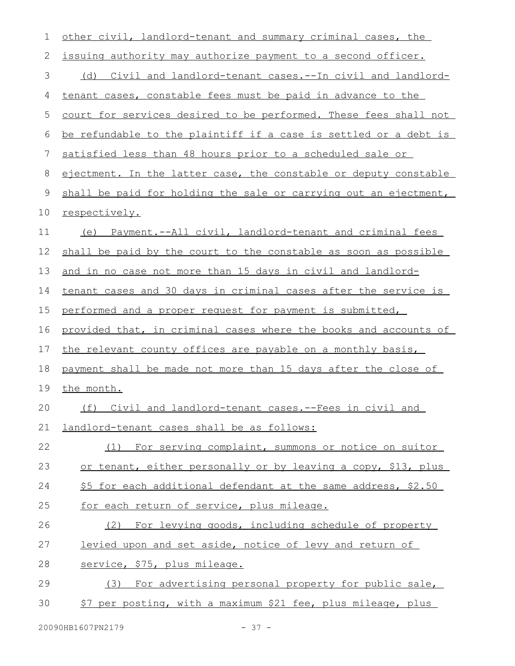| $\mathbf 1$ | other civil, landlord-tenant and summary criminal cases, the     |
|-------------|------------------------------------------------------------------|
| 2           | issuing authority may authorize payment to a second officer.     |
| 3           | (d) Civil and landlord-tenant cases.--In civil and landlord-     |
| 4           | tenant cases, constable fees must be paid in advance to the      |
| 5           | court for services desired to be performed. These fees shall not |
| 6           | be refundable to the plaintiff if a case is settled or a debt is |
| 7           | satisfied less than 48 hours prior to a scheduled sale or        |
| 8           | ejectment. In the latter case, the constable or deputy constable |
| $\mathsf 9$ | shall be paid for holding the sale or carrying out an ejectment, |
| 10          | respectively.                                                    |
| 11          | (e) Payment.--All civil, landlord-tenant and criminal fees       |
| 12          | shall be paid by the court to the constable as soon as possible  |
| 13          | and in no case not more than 15 days in civil and landlord-      |
| 14          | tenant cases and 30 days in criminal cases after the service is  |
| 15          | performed and a proper request for payment is submitted,         |
| 16          | provided that, in criminal cases where the books and accounts of |
| 17          | the relevant county offices are payable on a monthly basis,      |
| 18          | payment shall be made not more than 15 days after the close of   |
| 19          | the month.                                                       |
| 20          | (f) Civil and landlord-tenant cases.--Fees in civil and          |
| 21          | landlord-tenant cases shall be as follows:                       |
| 22          | (1) For serving complaint, summons or notice on suitor           |
| 23          | or tenant, either personally or by leaving a copy, \$13, plus    |
| 24          | \$5 for each additional defendant at the same address, \$2.50    |
| 25          | for each return of service, plus mileage.                        |
| 26          | (2) For levying goods, including schedule of property            |
| 27          | levied upon and set aside, notice of levy and return of          |
| 28          | service, \$75, plus mileage.                                     |
| 29          | For advertising personal property for public sale,<br>(3)        |
| 30          | \$7 per posting, with a maximum \$21 fee, plus mileage, plus     |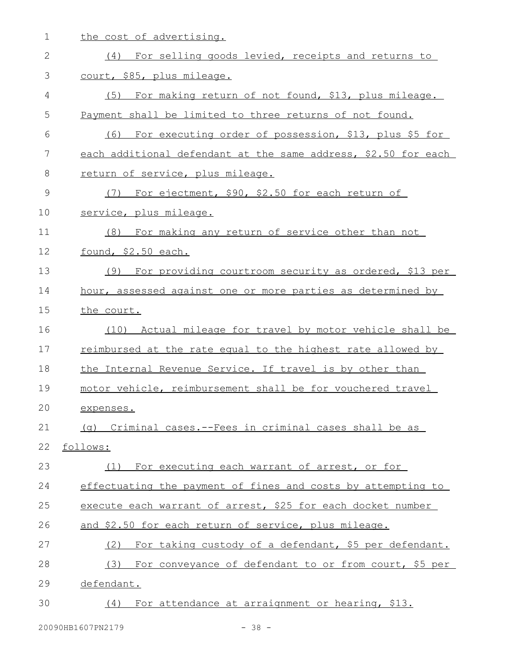the cost of advertising. (4) For selling goods levied, receipts and returns to court, \$85, plus mileage. (5) For making return of not found, \$13, plus mileage. Payment shall be limited to three returns of not found. (6) For executing order of possession, \$13, plus \$5 for each additional defendant at the same address, \$2.50 for each return of service, plus mileage. (7) For ejectment, \$90, \$2.50 for each return of service, plus mileage. (8) For making any return of service other than not found, \$2.50 each. (9) For providing courtroom security as ordered, \$13 per hour, assessed against one or more parties as determined by the court. (10) Actual mileage for travel by motor vehicle shall be reimbursed at the rate equal to the highest rate allowed by the Internal Revenue Service. If travel is by other than motor vehicle, reimbursement shall be for vouchered travel expenses. (g) Criminal cases.--Fees in criminal cases shall be as follows: (1) For executing each warrant of arrest, or for effectuating the payment of fines and costs by attempting to execute each warrant of arrest, \$25 for each docket number and \$2.50 for each return of service, plus mileage. (2) For taking custody of a defendant, \$5 per defendant. (3) For conveyance of defendant to or from court, \$5 per defendant. (4) For attendance at arraignment or hearing, \$13. 1 2 3 4 5 6 7 8 9 10 11 12 13 14 15 16 17 18 19 20 21 22 23 24 25 26 27 28 29 30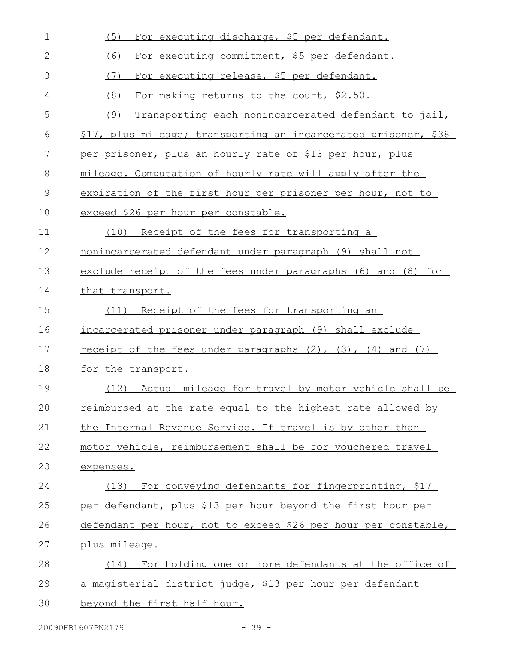| $\mathbf 1$   | For executing discharge, \$5 per defendant.<br>(5)                                                                    |
|---------------|-----------------------------------------------------------------------------------------------------------------------|
| 2             | For executing commitment, \$5 per defendant.<br>(6)                                                                   |
| 3             | (7)<br>For executing release, \$5 per defendant.                                                                      |
| 4             | (8)<br>For making returns to the court, \$2.50.                                                                       |
| 5             | (9)<br>Transporting each nonincarcerated defendant to jail,                                                           |
| 6             | \$17, plus mileage; transporting an incarcerated prisoner, \$38                                                       |
| 7             | per prisoner, plus an hourly rate of \$13 per hour, plus                                                              |
| 8             | mileage. Computation of hourly rate will apply after the                                                              |
| $\mathcal{G}$ | expiration of the first hour per prisoner per hour, not to                                                            |
| 10            | exceed \$26 per hour per constable.                                                                                   |
| 11            | (10) Receipt of the fees for transporting a                                                                           |
| 12            | nonincarcerated defendant under paragraph (9) shall not                                                               |
| 13            | exclude receipt of the fees under paragraphs (6) and (8) for                                                          |
| 14            | that transport.                                                                                                       |
| 15            | Receipt of the fees for transporting an<br>(11)                                                                       |
| 16            | incarcerated prisoner under paragraph (9) shall exclude                                                               |
| 17            | <u>receipt of the fees under paragraphs <math>(2)</math>, <math>(3)</math>, <math>(4)</math> and <math>(7)</math></u> |
| 18            | for the transport.                                                                                                    |
| 19            | (12) Actual mileage for travel by motor vehicle shall be                                                              |
| 20            | reimbursed at the rate equal to the highest rate allowed by                                                           |
| 21            | the Internal Revenue Service. If travel is by other than                                                              |
| 22            | motor vehicle, reimbursement shall be for vouchered travel                                                            |
| 23            | expenses.                                                                                                             |
| 24            | (13) For conveying defendants for fingerprinting, \$17                                                                |
| 25            | per defendant, plus \$13 per hour beyond the first hour per                                                           |
| 26            |                                                                                                                       |
|               | defendant per hour, not to exceed \$26 per hour per constable,                                                        |
| 27            | plus mileage.                                                                                                         |
| 28            | (14) For holding one or more defendants at the office of                                                              |
| 29            | a magisterial district judge, \$13 per hour per defendant                                                             |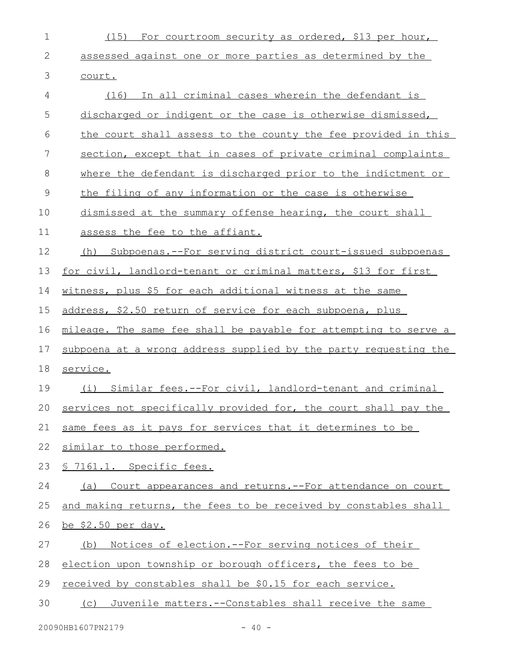| $\mathbf 1$ | (15) For courtroom security as ordered, \$13 per hour,           |
|-------------|------------------------------------------------------------------|
| 2           | assessed against one or more parties as determined by the        |
| 3           | court.                                                           |
| 4           | (16) In all criminal cases wherein the defendant is              |
| 5           | discharged or indigent or the case is otherwise dismissed,       |
| 6           | the court shall assess to the county the fee provided in this    |
| 7           | section, except that in cases of private criminal complaints     |
| 8           | where the defendant is discharged prior to the indictment or     |
| $\mathsf 9$ | the filing of any information or the case is otherwise           |
| 10          | dismissed at the summary offense hearing, the court shall        |
| 11          | assess the fee to the affiant.                                   |
| 12          | (h) Subpoenas.--For serving district court-issued subpoenas      |
| 13          | for civil, landlord-tenant or criminal matters, \$13 for first   |
| 14          | witness, plus \$5 for each additional witness at the same        |
| 15          | address, \$2.50 return of service for each subpoena, plus        |
| 16          | mileage. The same fee shall be payable for attempting to serve a |
| 17          | subpoena at a wrong address supplied by the party requesting the |
| 18          | service.                                                         |
| 19          | Similar fees. -- For civil, landlord-tenant and criminal<br>(i)  |
| 20          | services not specifically provided for, the court shall pay the  |
| 21          | same fees as it pays for services that it determines to be       |
| 22          | similar to those performed.                                      |
| 23          | § 7161.1. Specific fees.                                         |
| 24          | (a) Court appearances and returns. -- For attendance on court    |
| 25          | and making returns, the fees to be received by constables shall  |
| 26          | <u>be \$2.50 per day.</u>                                        |
| 27          | Notices of election. -- For serving notices of their<br>(b)      |
| 28          | election upon township or borough officers, the fees to be       |
| 29          | received by constables shall be \$0.15 for each service.         |
| 30          | (c) Juvenile matters.--Constables shall receive the same         |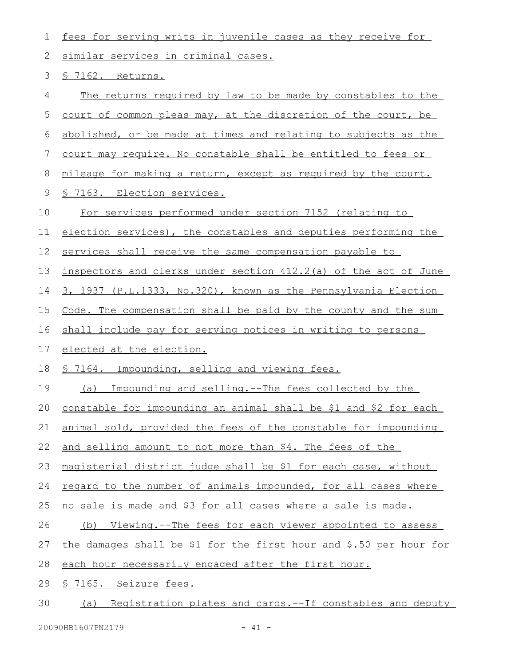| 1  | fees for serving writs in juvenile cases as they receive for       |  |  |  |
|----|--------------------------------------------------------------------|--|--|--|
| 2  | similar services in criminal cases.                                |  |  |  |
| 3  | <u>§ 7162. Returns.</u>                                            |  |  |  |
| 4  | The returns required by law to be made by constables to the        |  |  |  |
| 5  | court of common pleas may, at the discretion of the court, be      |  |  |  |
| 6  | abolished, or be made at times and relating to subjects as the     |  |  |  |
| 7  | court may require. No constable shall be entitled to fees or       |  |  |  |
| 8  | mileage for making a return, except as required by the court.      |  |  |  |
| 9  | <u>S 7163. Election services.</u>                                  |  |  |  |
| 10 | For services performed under section 7152 (relating to             |  |  |  |
| 11 | election services), the constables and deputies performing the     |  |  |  |
| 12 | services shall receive the same compensation payable to            |  |  |  |
| 13 | inspectors and clerks under section 412.2(a) of the act of June    |  |  |  |
| 14 | 3, 1937 (P.L.1333, No.320), known as the Pennsylvania Election     |  |  |  |
| 15 | Code. The compensation shall be paid by the county and the sum     |  |  |  |
| 16 | shall include pay for serving notices in writing to persons        |  |  |  |
| 17 | elected at the election.                                           |  |  |  |
| 18 | § 7164. Impounding, selling and viewing fees.                      |  |  |  |
| 19 | Impounding and selling.--The fees collected by the<br>(a)          |  |  |  |
| 20 | constable for impounding an animal shall be \$1 and \$2 for each   |  |  |  |
| 21 | animal sold, provided the fees of the constable for impounding     |  |  |  |
| 22 | and selling amount to not more than \$4. The fees of the           |  |  |  |
| 23 | magisterial district judge shall be \$1 for each case, without     |  |  |  |
| 24 | regard to the number of animals impounded, for all cases where     |  |  |  |
| 25 | no sale is made and \$3 for all cases where a sale is made.        |  |  |  |
| 26 | (b) Viewing.--The fees for each viewer appointed to assess         |  |  |  |
| 27 | the damages shall be \$1 for the first hour and \$.50 per hour for |  |  |  |
| 28 | each hour necessarily engaged after the first hour.                |  |  |  |
| 29 | § 7165. Seizure fees.                                              |  |  |  |
| 30 | (a) Registration plates and cards.--If constables and deputy       |  |  |  |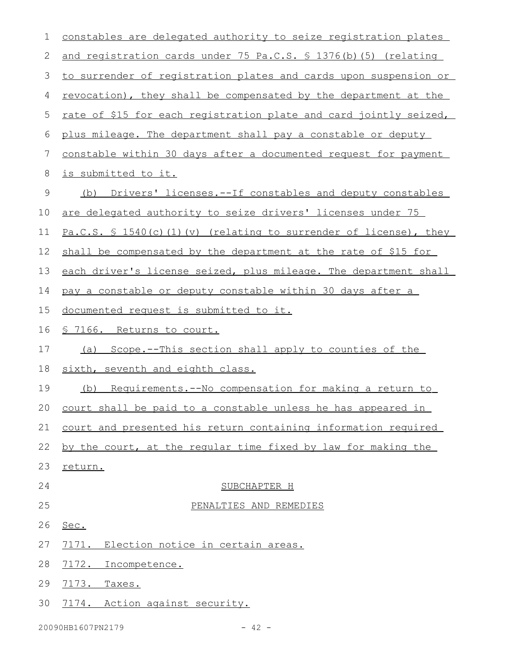| 1           | constables are delegated authority to seize registration plates              |  |  |  |  |
|-------------|------------------------------------------------------------------------------|--|--|--|--|
| 2           | and registration cards under 75 Pa.C.S. § 1376(b) (5) (relating              |  |  |  |  |
| 3           | to surrender of registration plates and cards upon suspension or             |  |  |  |  |
| 4           | revocation), they shall be compensated by the department at the              |  |  |  |  |
| 5           | rate of \$15 for each registration plate and card jointly seized,            |  |  |  |  |
| 6           | plus mileage. The department shall pay a constable or deputy                 |  |  |  |  |
| 7           | constable within 30 days after a documented request for payment              |  |  |  |  |
| 8           | is submitted to it.                                                          |  |  |  |  |
| $\mathsf 9$ | Drivers' licenses.--If constables and deputy constables<br>(b)               |  |  |  |  |
| 10          | are delegated authority to seize drivers' licenses under 75                  |  |  |  |  |
| 11          | Pa.C.S. $\frac{6}{5}$ 1540(c)(1)(v) (relating to surrender of license), they |  |  |  |  |
| 12          | shall be compensated by the department at the rate of \$15 for               |  |  |  |  |
| 13          | each driver's license seized, plus mileage. The department shall             |  |  |  |  |
| 14          | pay a constable or deputy constable within 30 days after a                   |  |  |  |  |
| 15          | documented request is submitted to it.                                       |  |  |  |  |
| 16          | <u>§ 7166. Returns to court.</u>                                             |  |  |  |  |
| 17          | Scope.--This section shall apply to counties of the<br>(a)                   |  |  |  |  |
| 18          | sixth, seventh and eighth class.                                             |  |  |  |  |
| 19          | Requirements.--No compensation for making a return to<br>(b)                 |  |  |  |  |
|             | 20 court shall be paid to a constable unless he has appeared in              |  |  |  |  |
| 21          | court and presented his return containing information required               |  |  |  |  |
| 22          | by the court, at the regular time fixed by law for making the                |  |  |  |  |
| 23          | return.                                                                      |  |  |  |  |
| 24          | SUBCHAPTER H                                                                 |  |  |  |  |
| 25          | PENALTIES AND REMEDIES                                                       |  |  |  |  |
| 26          | Sec.                                                                         |  |  |  |  |
| 27          | Election notice in certain areas.<br>7 <u>171</u> .                          |  |  |  |  |
| 28          | 7172.<br>Incompetence.                                                       |  |  |  |  |
| 29          | 7173.<br>Taxes.                                                              |  |  |  |  |
| 30          | 7174. Action against security.                                               |  |  |  |  |
|             |                                                                              |  |  |  |  |

20090HB1607PN2179 - 42 -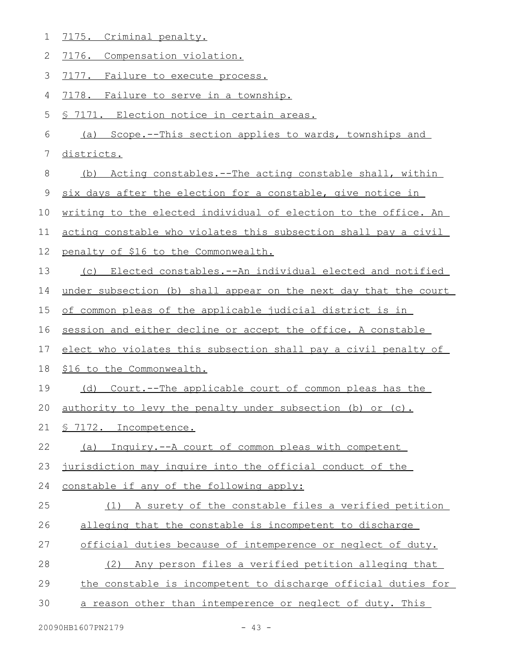| 1  | 7175. Criminal penalty.                                          |
|----|------------------------------------------------------------------|
| 2  | 7176. Compensation violation.                                    |
| 3  | 7177. Failure to execute process.                                |
| 4  | 7178. Failure to serve in a township.                            |
| 5  | § 7171. Election notice in certain areas.                        |
| 6  | (a) Scope.--This section applies to wards, townships and         |
| 7  | districts.                                                       |
| 8  | Acting constables. -- The acting constable shall, within<br>(b)  |
| 9  | six days after the election for a constable, give notice in      |
| 10 | writing to the elected individual of election to the office. An  |
| 11 | acting constable who violates this subsection shall pay a civil  |
| 12 | penalty of \$16 to the Commonwealth.                             |
| 13 | (c) Elected constables.--An individual elected and notified      |
| 14 | under subsection (b) shall appear on the next day that the court |
| 15 | of common pleas of the applicable judicial district is in        |
|    |                                                                  |
| 16 | session and either decline or accept the office. A constable     |
| 17 | elect who violates this subsection shall pay a civil penalty of  |
| 18 | \$16 to the Commonwealth.                                        |
| 19 | (d) Court.--The applicable court of common pleas has the         |
| 20 | authority to levy the penalty under subsection (b) or (c).       |
| 21 | § 7172. Incompetence.                                            |
| 22 | (a) Inquiry.--A court of common pleas with competent             |
| 23 | jurisdiction may inquire into the official conduct of the        |
| 24 | constable if any of the following apply:                         |
| 25 | (1) A surety of the constable files a verified petition          |
| 26 | alleging that the constable is incompetent to discharge          |
| 27 | official duties because of intemperence or neglect of duty.      |
| 28 | Any person files a verified petition alleging that<br>(2)        |
| 29 | the constable is incompetent to discharge official duties for    |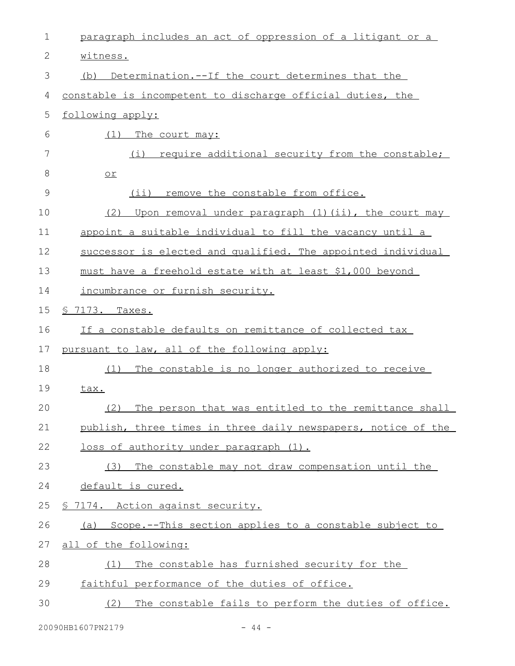| $\mathbf 1$   | paragraph includes an act of oppression of a litigant or a    |  |  |  |  |
|---------------|---------------------------------------------------------------|--|--|--|--|
| $\mathbf{2}$  | witness.                                                      |  |  |  |  |
| $\mathcal{S}$ | Determination.--If the court determines that the<br>(b)       |  |  |  |  |
| 4             | constable is incompetent to discharge official duties, the    |  |  |  |  |
| 5             | following apply:                                              |  |  |  |  |
| 6             | (1)<br>The court may:                                         |  |  |  |  |
| 7             | require additional security from the constable;<br>(i)        |  |  |  |  |
| 8             | $or$                                                          |  |  |  |  |
| $\mathcal{G}$ | (i)<br>remove the constable from office.                      |  |  |  |  |
| 10            | Upon removal under paragraph (1) (ii), the court may<br>(2)   |  |  |  |  |
| 11            | appoint a suitable individual to fill the vacancy until a     |  |  |  |  |
| 12            | successor is elected and qualified. The appointed individual  |  |  |  |  |
| 13            | must have a freehold estate with at least \$1,000 beyond      |  |  |  |  |
| 14            | incumbrance or furnish security.                              |  |  |  |  |
| 15            | <u>S 7173. Taxes.</u>                                         |  |  |  |  |
| 16            | If a constable defaults on remittance of collected tax        |  |  |  |  |
| 17            | pursuant to law, all of the following apply:                  |  |  |  |  |
| 18            | The constable is no longer authorized to receive<br>(1)       |  |  |  |  |
| 19            | tax.                                                          |  |  |  |  |
| 20            | The person that was entitled to the remittance shall<br>(2)   |  |  |  |  |
| 21            | publish, three times in three daily newspapers, notice of the |  |  |  |  |
| 22            | loss of authority under paragraph (1).                        |  |  |  |  |
| 23            | The constable may not draw compensation until the<br>(3)      |  |  |  |  |
| 24            | default is cured.                                             |  |  |  |  |
| 25            | § 7174. Action against security.                              |  |  |  |  |
| 26            | (a) Scope.--This section applies to a constable subject to    |  |  |  |  |
| 27            | all of the following:                                         |  |  |  |  |
| 28            | The constable has furnished security for the<br>(1)           |  |  |  |  |
| 29            | faithful performance of the duties of office.                 |  |  |  |  |
| 30            | The constable fails to perform the duties of office.<br>(2)   |  |  |  |  |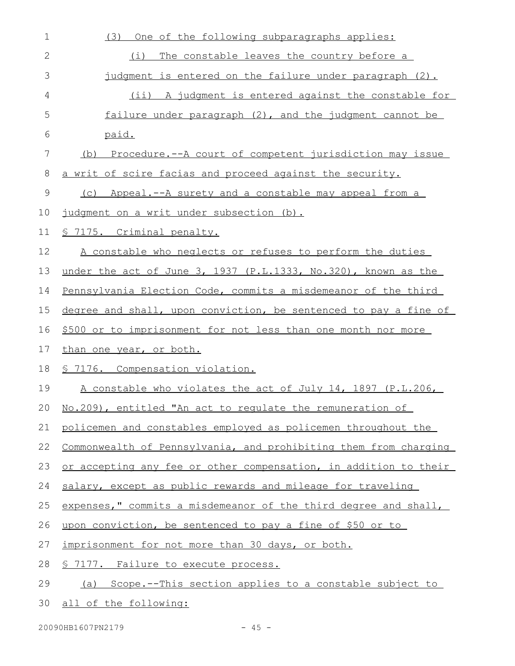| 1            | One of the following subparagraphs applies:<br>(3)               |
|--------------|------------------------------------------------------------------|
| $\mathbf{2}$ | The constable leaves the country before a<br>(i)                 |
| 3            | judgment is entered on the failure under paragraph (2).          |
| 4            | (ii) A judgment is entered against the constable for             |
| 5            | failure under paragraph (2), and the judgment cannot be          |
| 6            | paid.                                                            |
| 7            | (b) Procedure.--A court of competent jurisdiction may issue      |
| 8            | a writ of scire facias and proceed against the security.         |
| 9            | Appeal.--A surety and a constable may appeal from a<br>(C)       |
| 10           | judgment on a writ under subsection (b).                         |
| 11           | <u>§ 7175. Criminal penalty.</u>                                 |
| 12           | A constable who neglects or refuses to perform the duties        |
| 13           | under the act of June 3, 1937 (P.L.1333, No.320), known as the   |
| 14           | Pennsylvania Election Code, commits a misdemeanor of the third   |
| 15           | degree and shall, upon conviction, be sentenced to pay a fine of |
| 16           | \$500 or to imprisonment for not less than one month nor more    |
| 17           | than one year, or both.                                          |
| 18           | <u>S 7176. Compensation violation.</u>                           |
| 19           | A constable who violates the act of July 14, 1897 (P.L.206,      |
|              | 20 No.209), entitled "An act to regulate the remuneration of     |
| 21           | policemen and constables employed as policemen throughout the    |
| 22           | Commonwealth of Pennsylvania, and prohibiting them from charging |
| 23           | or accepting any fee or other compensation, in addition to their |
| 24           | salary, except as public rewards and mileage for traveling       |
| 25           | expenses," commits a misdemeanor of the third degree and shall,  |
| 26           | upon conviction, be sentenced to pay a fine of \$50 or to        |
| 27           | imprisonment for not more than 30 days, or both.                 |
| 28           | § 7177. Failure to execute process.                              |
| 29           | (a) Scope.--This section applies to a constable subject to       |
| 30           | all of the following:                                            |

20090HB1607PN2179 - 45 -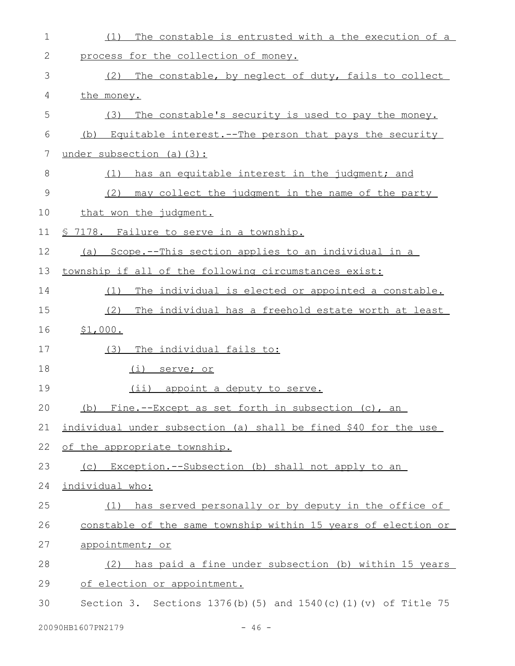| $\mathbf 1$ | The constable is entrusted with a the execution of a<br>(1)         |  |  |  |
|-------------|---------------------------------------------------------------------|--|--|--|
| 2           | process for the collection of money.                                |  |  |  |
| 3           | The constable, by neglect of duty, fails to collect<br>(2)          |  |  |  |
| 4           | the money.                                                          |  |  |  |
| 5           | (3)<br>The constable's security is used to pay the money.           |  |  |  |
| 6           | (b) Equitable interest.--The person that pays the security          |  |  |  |
| 7           | under subsection (a) (3):                                           |  |  |  |
| 8           | has an equitable interest in the judgment; and<br>(1)               |  |  |  |
| 9           | (2)<br>may collect the judgment in the name of the party            |  |  |  |
| 10          | that won the judgment.                                              |  |  |  |
| 11          | <u>§ 7178. Failure to serve in a township.</u>                      |  |  |  |
| 12          | Scope.--This section applies to an individual in a<br>(a)           |  |  |  |
| 13          | township if all of the following circumstances exist:               |  |  |  |
| 14          | The individual is elected or appointed a constable.<br>(1)          |  |  |  |
| 15          | The individual has a freehold estate worth at least<br>(2)          |  |  |  |
| 16          | \$1,000.                                                            |  |  |  |
| 17          | The individual fails to:<br>(3)                                     |  |  |  |
| 18          | <u>(i) serve; or</u>                                                |  |  |  |
| 19          | (ii) appoint a deputy to serve.                                     |  |  |  |
| 20          | (b) Fine.--Except as set forth in subsection (c), an                |  |  |  |
| 21          | individual under subsection (a) shall be fined \$40 for the use     |  |  |  |
| 22          | of the appropriate township.                                        |  |  |  |
| 23          | (c) Exception.--Subsection (b) shall not apply to an                |  |  |  |
| 24          | individual who:                                                     |  |  |  |
| 25          | (1) has served personally or by deputy in the office of             |  |  |  |
| 26          | constable of the same township within 15 years of election or       |  |  |  |
| 27          | appointment; or                                                     |  |  |  |
| 28          | has paid a fine under subsection (b) within 15 years<br>(2)         |  |  |  |
| 29          | of election or appointment.                                         |  |  |  |
| 30          | Section 3. Sections $1376(b)$ (5) and $1540(c)$ (1) (v) of Title 75 |  |  |  |
|             | 20090HB1607PN2179<br>$-46 -$                                        |  |  |  |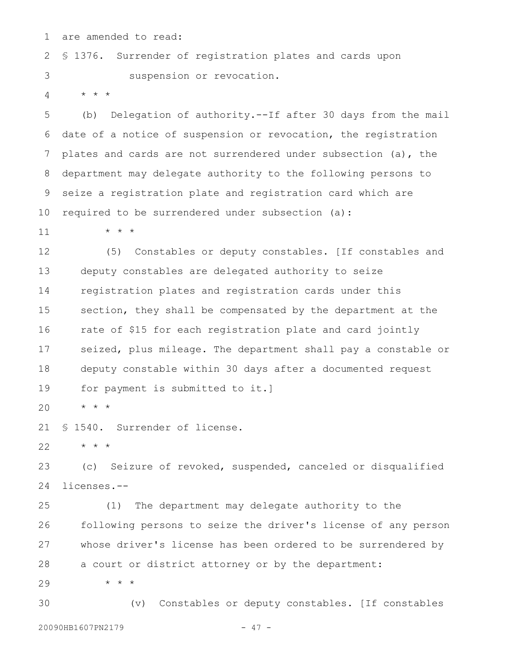are amended to read: 1

§ 1376. Surrender of registration plates and cards upon suspension or revocation. 2 3

\* \* \* 4

(b) Delegation of authority.--If after 30 days from the mail date of a notice of suspension or revocation, the registration plates and cards are not surrendered under subsection (a), the department may delegate authority to the following persons to seize a registration plate and registration card which are required to be surrendered under subsection (a): 5 6 7 8 9 10

\* \* \* 11

(5) Constables or deputy constables. [If constables and deputy constables are delegated authority to seize registration plates and registration cards under this section, they shall be compensated by the department at the rate of \$15 for each registration plate and card jointly seized, plus mileage. The department shall pay a constable or deputy constable within 30 days after a documented request for payment is submitted to it.] 12 13 14 15 16 17 18 19

\* \* \* 20

§ 1540. Surrender of license. 21

\* \* \* 22

(c) Seizure of revoked, suspended, canceled or disqualified licenses.-- 23 24

(1) The department may delegate authority to the following persons to seize the driver's license of any person whose driver's license has been ordered to be surrendered by a court or district attorney or by the department: 25 26 27 28

\* \* \* 29

(v) Constables or deputy constables. [If constables 20090HB1607PN2179 - 47 -30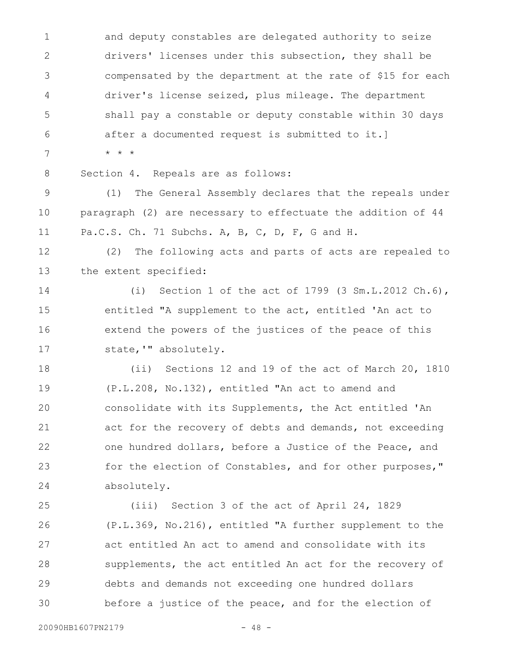and deputy constables are delegated authority to seize drivers' licenses under this subsection, they shall be compensated by the department at the rate of \$15 for each driver's license seized, plus mileage. The department shall pay a constable or deputy constable within 30 days after a documented request is submitted to it.] \* \* \* 1 2 3 4 5 6 7

8

Section 4. Repeals are as follows:

(1) The General Assembly declares that the repeals under paragraph (2) are necessary to effectuate the addition of 44 Pa.C.S. Ch. 71 Subchs. A, B, C, D, F, G and H. 9 10 11

(2) The following acts and parts of acts are repealed to the extent specified: 12 13

(i) Section 1 of the act of 1799 (3 Sm.L.2012 Ch.6), entitled "A supplement to the act, entitled 'An act to extend the powers of the justices of the peace of this state,'" absolutely. 14 15 16 17

(ii) Sections 12 and 19 of the act of March 20, 1810 (P.L.208, No.132), entitled "An act to amend and consolidate with its Supplements, the Act entitled 'An act for the recovery of debts and demands, not exceeding one hundred dollars, before a Justice of the Peace, and for the election of Constables, and for other purposes," absolutely. 18 19 20 21 22 23 24

(iii) Section 3 of the act of April 24, 1829 (P.L.369, No.216), entitled "A further supplement to the act entitled An act to amend and consolidate with its supplements, the act entitled An act for the recovery of debts and demands not exceeding one hundred dollars before a justice of the peace, and for the election of 25 26 27 28 29 30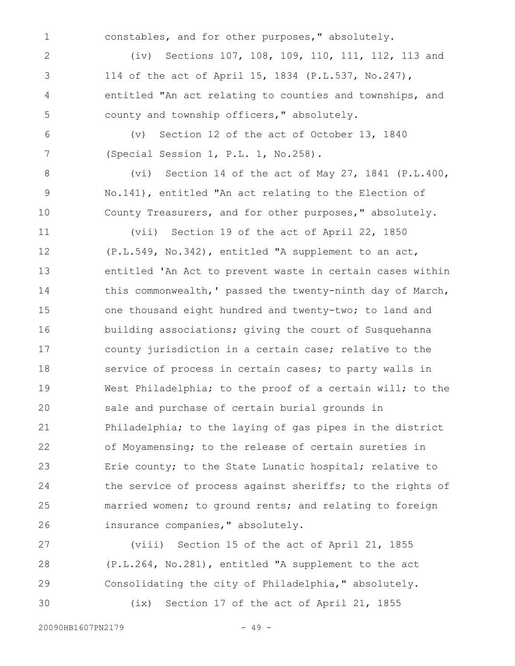1

constables, and for other purposes," absolutely.

(iv) Sections 107, 108, 109, 110, 111, 112, 113 and 114 of the act of April 15, 1834 (P.L.537, No.247), entitled "An act relating to counties and townships, and county and township officers," absolutely. 2 3 4 5

(v) Section 12 of the act of October 13, 1840 (Special Session 1, P.L. 1, No.258). 6 7

(vi) Section 14 of the act of May 27, 1841 (P.L.400, No.141), entitled "An act relating to the Election of County Treasurers, and for other purposes," absolutely. 8 9 10

(vii) Section 19 of the act of April 22, 1850 (P.L.549, No.342), entitled "A supplement to an act, entitled 'An Act to prevent waste in certain cases within this commonwealth,' passed the twenty-ninth day of March, one thousand eight hundred and twenty-two; to land and building associations; giving the court of Susquehanna county jurisdiction in a certain case; relative to the service of process in certain cases; to party walls in West Philadelphia; to the proof of a certain will; to the sale and purchase of certain burial grounds in Philadelphia; to the laying of gas pipes in the district of Moyamensing; to the release of certain sureties in Erie county; to the State Lunatic hospital; relative to the service of process against sheriffs; to the rights of married women; to ground rents; and relating to foreign insurance companies," absolutely. 11 12 13 14 15 16 17 18 19 20 21 22 23 24 25 26

(viii) Section 15 of the act of April 21, 1855 (P.L.264, No.281), entitled "A supplement to the act Consolidating the city of Philadelphia," absolutely. (ix) Section 17 of the act of April 21, 1855 27 28 29 30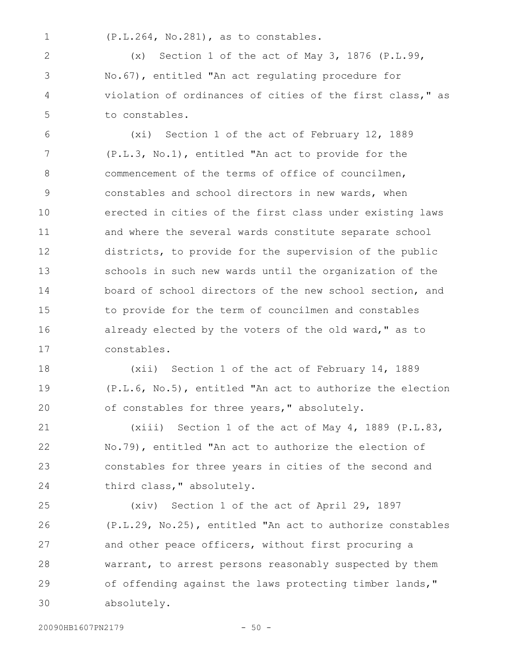1

(P.L.264, No.281), as to constables.

(x) Section 1 of the act of May 3, 1876 (P.L.99, No.67), entitled "An act regulating procedure for violation of ordinances of cities of the first class," as to constables. 2 3 4 5

(xi) Section 1 of the act of February 12, 1889 (P.L.3, No.1), entitled "An act to provide for the commencement of the terms of office of councilmen, constables and school directors in new wards, when erected in cities of the first class under existing laws and where the several wards constitute separate school districts, to provide for the supervision of the public schools in such new wards until the organization of the board of school directors of the new school section, and to provide for the term of councilmen and constables already elected by the voters of the old ward," as to constables. 6 7 8 9 10 11 12 13 14 15 16 17

(xii) Section 1 of the act of February 14, 1889 (P.L.6, No.5), entitled "An act to authorize the election of constables for three years," absolutely. 18 19 20

(xiii) Section 1 of the act of May 4, 1889 (P.L.83, No.79), entitled "An act to authorize the election of constables for three years in cities of the second and third class," absolutely. 21 22 23 24

(xiv) Section 1 of the act of April 29, 1897 (P.L.29, No.25), entitled "An act to authorize constables and other peace officers, without first procuring a warrant, to arrest persons reasonably suspected by them of offending against the laws protecting timber lands," absolutely. 25 26 27 28 29 30

20090HB1607PN2179 - 50 -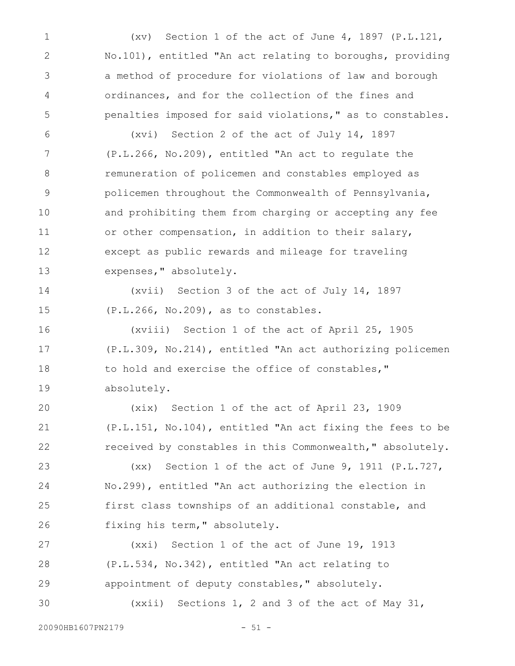(xv) Section 1 of the act of June 4, 1897 (P.L.121, No.101), entitled "An act relating to boroughs, providing a method of procedure for violations of law and borough ordinances, and for the collection of the fines and penalties imposed for said violations," as to constables. 1 2 3 4 5

(xvi) Section 2 of the act of July 14, 1897 (P.L.266, No.209), entitled "An act to regulate the remuneration of policemen and constables employed as policemen throughout the Commonwealth of Pennsylvania, and prohibiting them from charging or accepting any fee or other compensation, in addition to their salary, except as public rewards and mileage for traveling expenses," absolutely. 6 7 8 9 10 11 12 13

(xvii) Section 3 of the act of July 14, 1897 (P.L.266, No.209), as to constables. 14 15

(xviii) Section 1 of the act of April 25, 1905 (P.L.309, No.214), entitled "An act authorizing policemen to hold and exercise the office of constables," absolutely. 16 17 18 19

(xix) Section 1 of the act of April 23, 1909 (P.L.151, No.104), entitled "An act fixing the fees to be received by constables in this Commonwealth," absolutely. 20 21 22

(xx) Section 1 of the act of June 9, 1911 (P.L.727, No.299), entitled "An act authorizing the election in first class townships of an additional constable, and fixing his term," absolutely. 23 24 25 26

(xxi) Section 1 of the act of June 19, 1913 (P.L.534, No.342), entitled "An act relating to appointment of deputy constables," absolutely. (xxii) Sections 1, 2 and 3 of the act of May 31, 27 28 29 30

20090HB1607PN2179 - 51 -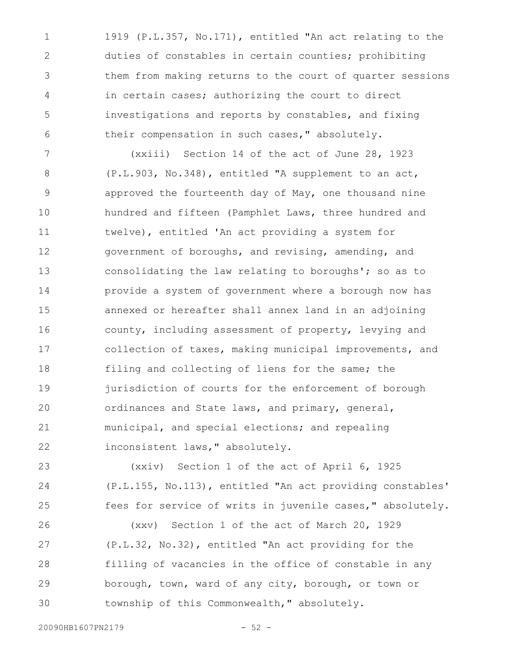1919 (P.L.357, No.171), entitled "An act relating to the duties of constables in certain counties; prohibiting them from making returns to the court of quarter sessions in certain cases; authorizing the court to direct investigations and reports by constables, and fixing their compensation in such cases," absolutely. 1 2 3 4 5 6

(xxiii) Section 14 of the act of June 28, 1923 (P.L.903, No.348), entitled "A supplement to an act, approved the fourteenth day of May, one thousand nine hundred and fifteen (Pamphlet Laws, three hundred and twelve), entitled 'An act providing a system for government of boroughs, and revising, amending, and consolidating the law relating to boroughs'; so as to provide a system of government where a borough now has annexed or hereafter shall annex land in an adjoining county, including assessment of property, levying and collection of taxes, making municipal improvements, and filing and collecting of liens for the same; the jurisdiction of courts for the enforcement of borough ordinances and State laws, and primary, general, municipal, and special elections; and repealing inconsistent laws," absolutely. 7 8 9 10 11 12 13 14 15 16 17 18 19 20 21 22

(xxiv) Section 1 of the act of April 6, 1925 (P.L.155, No.113), entitled "An act providing constables' fees for service of writs in juvenile cases," absolutely. (xxv) Section 1 of the act of March 20, 1929 (P.L.32, No.32), entitled "An act providing for the 23 24 25 26 27

filling of vacancies in the office of constable in any borough, town, ward of any city, borough, or town or township of this Commonwealth," absolutely. 28 29 30

20090HB1607PN2179 - 52 -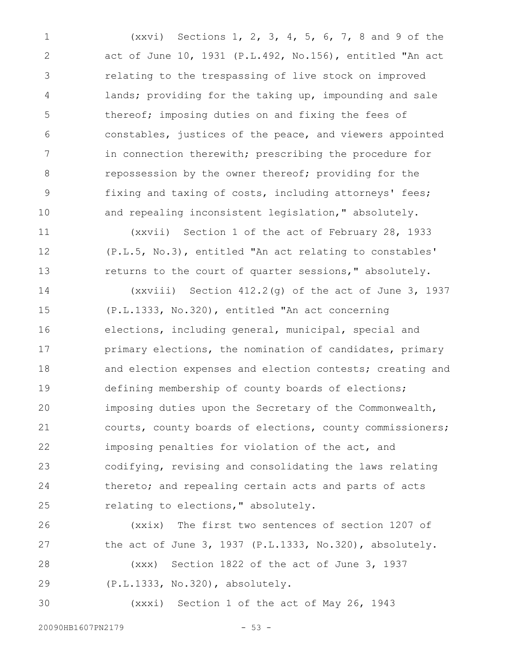(xxvi) Sections 1, 2, 3, 4, 5, 6, 7, 8 and 9 of the act of June 10, 1931 (P.L.492, No.156), entitled "An act relating to the trespassing of live stock on improved lands; providing for the taking up, impounding and sale thereof; imposing duties on and fixing the fees of constables, justices of the peace, and viewers appointed in connection therewith; prescribing the procedure for repossession by the owner thereof; providing for the fixing and taxing of costs, including attorneys' fees; and repealing inconsistent legislation," absolutely. 1 2 3 4 5 6 7 8 9 10

(xxvii) Section 1 of the act of February 28, 1933 (P.L.5, No.3), entitled "An act relating to constables' returns to the court of quarter sessions," absolutely. 11 12 13

(xxviii) Section 412.2(g) of the act of June 3, 1937 (P.L.1333, No.320), entitled "An act concerning elections, including general, municipal, special and primary elections, the nomination of candidates, primary and election expenses and election contests; creating and defining membership of county boards of elections; imposing duties upon the Secretary of the Commonwealth, courts, county boards of elections, county commissioners; imposing penalties for violation of the act, and codifying, revising and consolidating the laws relating thereto; and repealing certain acts and parts of acts relating to elections," absolutely. 14 15 16 17 18 19 20 21 22 23 24 25

(xxix) The first two sentences of section 1207 of the act of June 3, 1937 (P.L.1333, No.320), absolutely. (xxx) Section 1822 of the act of June 3, 1937 (P.L.1333, No.320), absolutely. 26 27 28 29

(xxxi) Section 1 of the act of May 26, 1943 30

20090HB1607PN2179 - 53 -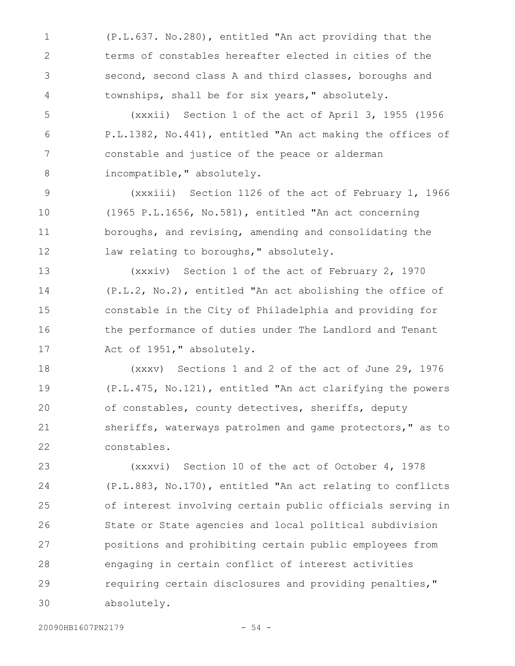(P.L.637. No.280), entitled "An act providing that the terms of constables hereafter elected in cities of the second, second class A and third classes, boroughs and townships, shall be for six years," absolutely. 1 2 3 4

(xxxii) Section 1 of the act of April 3, 1955 (1956 P.L.1382, No.441), entitled "An act making the offices of constable and justice of the peace or alderman incompatible," absolutely. 5 6 7 8

(xxxiii) Section 1126 of the act of February 1, 1966 (1965 P.L.1656, No.581), entitled "An act concerning boroughs, and revising, amending and consolidating the law relating to boroughs, " absolutely. 9 10 11 12

(xxxiv) Section 1 of the act of February 2, 1970 (P.L.2, No.2), entitled "An act abolishing the office of constable in the City of Philadelphia and providing for the performance of duties under The Landlord and Tenant Act of 1951," absolutely. 13 14 15 16 17

(xxxv) Sections 1 and 2 of the act of June 29, 1976 (P.L.475, No.121), entitled "An act clarifying the powers of constables, county detectives, sheriffs, deputy sheriffs, waterways patrolmen and game protectors," as to constables. 18 19 20 21 22

(xxxvi) Section 10 of the act of October 4, 1978 (P.L.883, No.170), entitled "An act relating to conflicts of interest involving certain public officials serving in State or State agencies and local political subdivision positions and prohibiting certain public employees from engaging in certain conflict of interest activities requiring certain disclosures and providing penalties," absolutely. 23 24 25 26 27 28 29 30

20090HB1607PN2179 - 54 -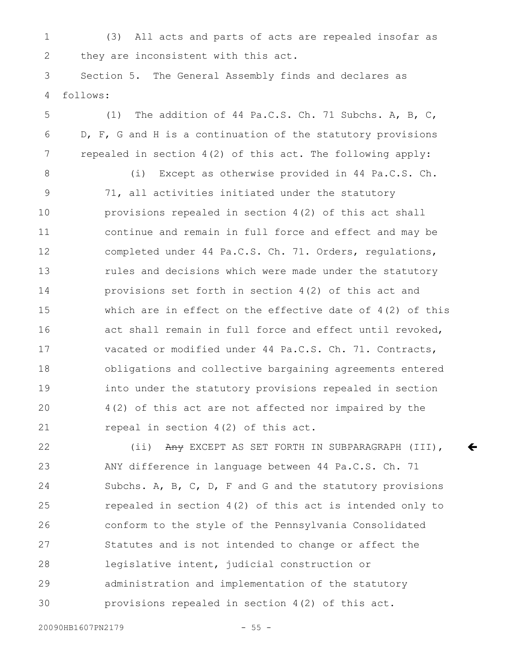(3) All acts and parts of acts are repealed insofar as they are inconsistent with this act. 1 2

Section 5. The General Assembly finds and declares as follows: 3 4

(1) The addition of 44 Pa.C.S. Ch. 71 Subchs. A, B, C, D, F, G and H is a continuation of the statutory provisions repealed in section 4(2) of this act. The following apply: 5 6 7

(i) Except as otherwise provided in 44 Pa.C.S. Ch. 71, all activities initiated under the statutory provisions repealed in section 4(2) of this act shall continue and remain in full force and effect and may be completed under 44 Pa.C.S. Ch. 71. Orders, regulations, rules and decisions which were made under the statutory provisions set forth in section 4(2) of this act and which are in effect on the effective date of 4(2) of this act shall remain in full force and effect until revoked, vacated or modified under 44 Pa.C.S. Ch. 71. Contracts, obligations and collective bargaining agreements entered into under the statutory provisions repealed in section 4(2) of this act are not affected nor impaired by the repeal in section 4(2) of this act. 8 9 10 11 12 13 14 15 16 17 18 19 20 21

(ii) Any EXCEPT AS SET FORTH IN SUBPARAGRAPH (III), ANY difference in language between 44 Pa.C.S. Ch. 71 Subchs. A, B, C, D, F and G and the statutory provisions repealed in section 4(2) of this act is intended only to conform to the style of the Pennsylvania Consolidated Statutes and is not intended to change or affect the legislative intent, judicial construction or administration and implementation of the statutory provisions repealed in section 4(2) of this act. 22 23 24 25 26 27 28 29 30

 $\leftarrow$ 

20090HB1607PN2179 - 55 -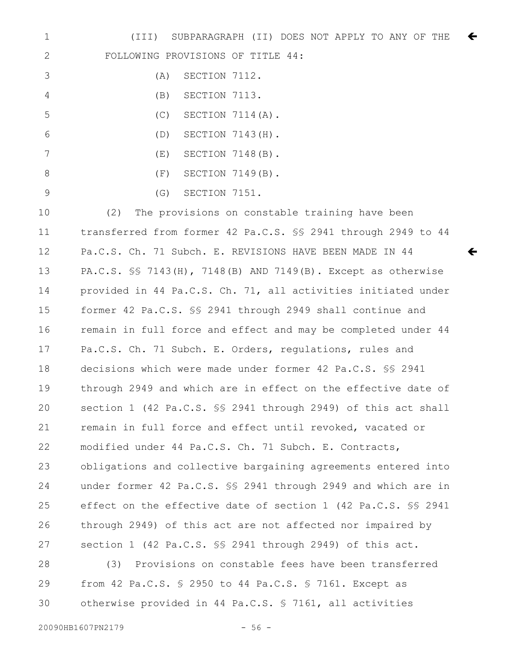(III) SUBPARAGRAPH (II) DOES NOT APPLY TO ANY OF THE FOLLOWING PROVISIONS OF TITLE 44:  $\leftarrow$ 1 2

|    | (A)   | SECTION 7112. |                            |
|----|-------|---------------|----------------------------|
| 4  | (B)   | SECTION 7113. |                            |
| .5 |       |               | $(C)$ SECTION 7114 $(A)$ . |
| 6  | (D)   |               | SECTION 7143(H).           |
|    | ( E ) |               | SECTION 7148(B).           |
| 8  | (F)   |               | SECTION 7149(B).           |
|    | (G)   | SECTION 7151. |                            |

(2) The provisions on constable training have been transferred from former 42 Pa.C.S. §§ 2941 through 2949 to 44 Pa.C.S. Ch. 71 Subch. E. REVISIONS HAVE BEEN MADE IN 44 PA.C.S. §§ 7143(H), 7148(B) AND 7149(B). Except as otherwise provided in 44 Pa.C.S. Ch. 71, all activities initiated under former 42 Pa.C.S. §§ 2941 through 2949 shall continue and remain in full force and effect and may be completed under 44 Pa.C.S. Ch. 71 Subch. E. Orders, regulations, rules and decisions which were made under former 42 Pa.C.S. §§ 2941 through 2949 and which are in effect on the effective date of section 1 (42 Pa.C.S. §§ 2941 through 2949) of this act shall remain in full force and effect until revoked, vacated or modified under 44 Pa.C.S. Ch. 71 Subch. E. Contracts, obligations and collective bargaining agreements entered into under former 42 Pa.C.S. §§ 2941 through 2949 and which are in effect on the effective date of section 1 (42 Pa.C.S. §§ 2941 through 2949) of this act are not affected nor impaired by section 1 (42 Pa.C.S. §§ 2941 through 2949) of this act. 10 11 12 13 14 15 16 17 18 19 20 21 22 23 24 25 26 27

ç

(3) Provisions on constable fees have been transferred from 42 Pa.C.S. § 2950 to 44 Pa.C.S. § 7161. Except as otherwise provided in 44 Pa.C.S. § 7161, all activities 28 29 30